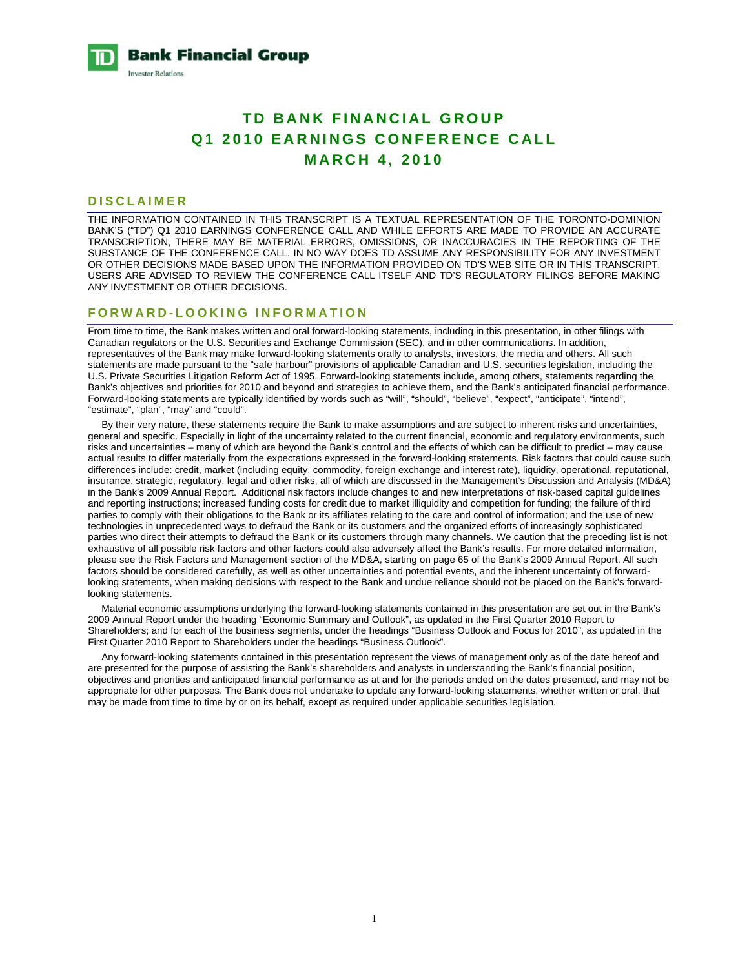**Bank Financial Group Investor Relations** 

# **TD BANK FINANCIAL GROUP Q1 2010 EARNINGS CONFERENCE CALL MARCH 4, 2010**

### **DISCLAIMER**

THE INFORMATION CONTAINED IN THIS TRANSCRIPT IS A TEXTUAL REPRESENTATION OF THE TORONTO-DOMINION BANK'S ("TD") Q1 2010 EARNINGS CONFERENCE CALL AND WHILE EFFORTS ARE MADE TO PROVIDE AN ACCURATE TRANSCRIPTION, THERE MAY BE MATERIAL ERRORS, OMISSIONS, OR INACCURACIES IN THE REPORTING OF THE SUBSTANCE OF THE CONFERENCE CALL. IN NO WAY DOES TD ASSUME ANY RESPONSIBILITY FOR ANY INVESTMENT OR OTHER DECISIONS MADE BASED UPON THE INFORMATION PROVIDED ON TD'S WEB SITE OR IN THIS TRANSCRIPT. USERS ARE ADVISED TO REVIEW THE CONFERENCE CALL ITSELF AND TD'S REGULATORY FILINGS BEFORE MAKING ANY INVESTMENT OR OTHER DECISIONS.

#### **FORWARD-LOOKING INFORMATION**

From time to time, the Bank makes written and oral forward-looking statements, including in this presentation, in other filings with Canadian regulators or the U.S. Securities and Exchange Commission (SEC), and in other communications. In addition, representatives of the Bank may make forward-looking statements orally to analysts, investors, the media and others. All such statements are made pursuant to the "safe harbour" provisions of applicable Canadian and U.S. securities legislation, including the U.S. Private Securities Litigation Reform Act of 1995. Forward-looking statements include, among others, statements regarding the Bank's objectives and priorities for 2010 and beyond and strategies to achieve them, and the Bank's anticipated financial performance. Forward-looking statements are typically identified by words such as "will", "should", "believe", "expect", "anticipate", "intend", "estimate", "plan", "may" and "could".

 By their very nature, these statements require the Bank to make assumptions and are subject to inherent risks and uncertainties, general and specific. Especially in light of the uncertainty related to the current financial, economic and regulatory environments, such risks and uncertainties – many of which are beyond the Bank's control and the effects of which can be difficult to predict – may cause actual results to differ materially from the expectations expressed in the forward-looking statements. Risk factors that could cause such differences include: credit, market (including equity, commodity, foreign exchange and interest rate), liquidity, operational, reputational, insurance, strategic, regulatory, legal and other risks, all of which are discussed in the Management's Discussion and Analysis (MD&A) in the Bank's 2009 Annual Report. Additional risk factors include changes to and new interpretations of risk-based capital guidelines and reporting instructions; increased funding costs for credit due to market illiquidity and competition for funding; the failure of third parties to comply with their obligations to the Bank or its affiliates relating to the care and control of information; and the use of new technologies in unprecedented ways to defraud the Bank or its customers and the organized efforts of increasingly sophisticated parties who direct their attempts to defraud the Bank or its customers through many channels. We caution that the preceding list is not exhaustive of all possible risk factors and other factors could also adversely affect the Bank's results. For more detailed information, please see the Risk Factors and Management section of the MD&A, starting on page 65 of the Bank's 2009 Annual Report. All such factors should be considered carefully, as well as other uncertainties and potential events, and the inherent uncertainty of forwardlooking statements, when making decisions with respect to the Bank and undue reliance should not be placed on the Bank's forwardlooking statements.

 Material economic assumptions underlying the forward-looking statements contained in this presentation are set out in the Bank's 2009 Annual Report under the heading "Economic Summary and Outlook", as updated in the First Quarter 2010 Report to Shareholders; and for each of the business segments, under the headings "Business Outlook and Focus for 2010", as updated in the First Quarter 2010 Report to Shareholders under the headings "Business Outlook".

 Any forward-looking statements contained in this presentation represent the views of management only as of the date hereof and are presented for the purpose of assisting the Bank's shareholders and analysts in understanding the Bank's financial position, objectives and priorities and anticipated financial performance as at and for the periods ended on the dates presented, and may not be appropriate for other purposes. The Bank does not undertake to update any forward-looking statements, whether written or oral, that may be made from time to time by or on its behalf, except as required under applicable securities legislation.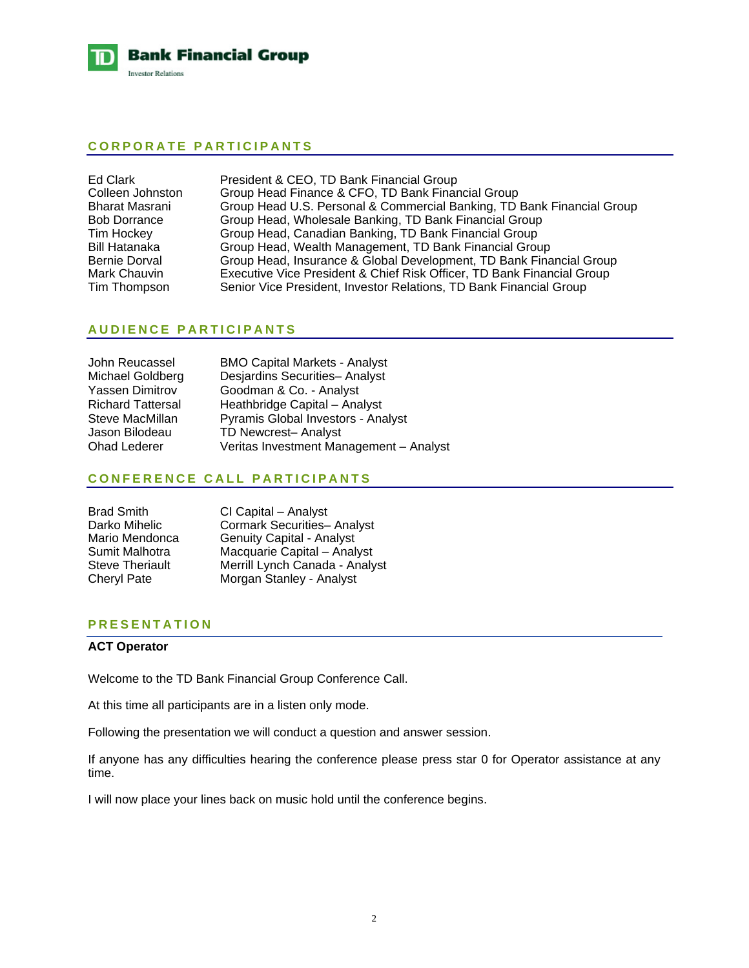

## **CORPORATE PARTICIPANTS**

| Ed Clark              | President & CEO, TD Bank Financial Group                               |
|-----------------------|------------------------------------------------------------------------|
| Colleen Johnston      | Group Head Finance & CFO, TD Bank Financial Group                      |
| <b>Bharat Masrani</b> | Group Head U.S. Personal & Commercial Banking, TD Bank Financial Group |
| <b>Bob Dorrance</b>   | Group Head, Wholesale Banking, TD Bank Financial Group                 |
| Tim Hockey            | Group Head, Canadian Banking, TD Bank Financial Group                  |
| <b>Bill Hatanaka</b>  | Group Head, Wealth Management, TD Bank Financial Group                 |
| <b>Bernie Dorval</b>  | Group Head, Insurance & Global Development, TD Bank Financial Group    |
| Mark Chauvin          | Executive Vice President & Chief Risk Officer, TD Bank Financial Group |
| Tim Thompson          | Senior Vice President, Investor Relations, TD Bank Financial Group     |

# **AUDIENCE PARTICIPANTS**

| John Reucassel           | <b>BMO Capital Markets - Analyst</b>    |
|--------------------------|-----------------------------------------|
| Michael Goldberg         | Desjardins Securities- Analyst          |
| <b>Yassen Dimitrov</b>   | Goodman & Co. - Analyst                 |
| <b>Richard Tattersal</b> | Heathbridge Capital - Analyst           |
| Steve MacMillan          | Pyramis Global Investors - Analyst      |
| Jason Bilodeau           | TD Newcrest- Analyst                    |
| <b>Ohad Lederer</b>      | Veritas Investment Management - Analyst |

# **CONFERENCE CALL PARTICIPANTS**

| <b>Brad Smith</b>      | CI Capital - Analyst               |
|------------------------|------------------------------------|
| Darko Mihelic          | <b>Cormark Securities- Analyst</b> |
| Mario Mendonca         | <b>Genuity Capital - Analyst</b>   |
| Sumit Malhotra         | Macquarie Capital - Analyst        |
| <b>Steve Theriault</b> | Merrill Lynch Canada - Analyst     |
| <b>Cheryl Pate</b>     | Morgan Stanley - Analyst           |

# **PRESENTATION**

# **ACT Operator**

Welcome to the TD Bank Financial Group Conference Call.

At this time all participants are in a listen only mode.

Following the presentation we will conduct a question and answer session.

If anyone has any difficulties hearing the conference please press star 0 for Operator assistance at any time.

I will now place your lines back on music hold until the conference begins.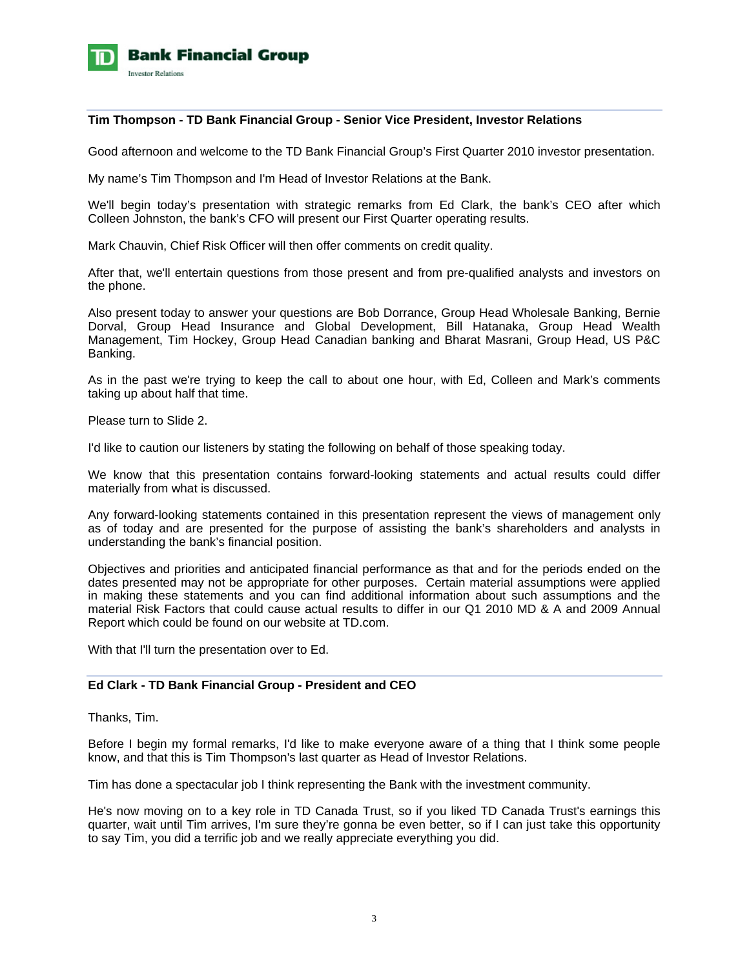

### **Tim Thompson - TD Bank Financial Group - Senior Vice President, Investor Relations**

Good afternoon and welcome to the TD Bank Financial Group's First Quarter 2010 investor presentation.

My name's Tim Thompson and I'm Head of Investor Relations at the Bank.

We'll begin today's presentation with strategic remarks from Ed Clark, the bank's CEO after which Colleen Johnston, the bank's CFO will present our First Quarter operating results.

Mark Chauvin, Chief Risk Officer will then offer comments on credit quality.

After that, we'll entertain questions from those present and from pre-qualified analysts and investors on the phone.

Also present today to answer your questions are Bob Dorrance, Group Head Wholesale Banking, Bernie Dorval, Group Head Insurance and Global Development, Bill Hatanaka, Group Head Wealth Management, Tim Hockey, Group Head Canadian banking and Bharat Masrani, Group Head, US P&C Banking.

As in the past we're trying to keep the call to about one hour, with Ed, Colleen and Mark's comments taking up about half that time.

Please turn to Slide 2.

I'd like to caution our listeners by stating the following on behalf of those speaking today.

We know that this presentation contains forward-looking statements and actual results could differ materially from what is discussed.

Any forward-looking statements contained in this presentation represent the views of management only as of today and are presented for the purpose of assisting the bank's shareholders and analysts in understanding the bank's financial position.

Objectives and priorities and anticipated financial performance as that and for the periods ended on the dates presented may not be appropriate for other purposes. Certain material assumptions were applied in making these statements and you can find additional information about such assumptions and the material Risk Factors that could cause actual results to differ in our Q1 2010 MD & A and 2009 Annual Report which could be found on our website at TD.com.

With that I'll turn the presentation over to Ed.

# **Ed Clark - TD Bank Financial Group - President and CEO**

Thanks, Tim.

Before I begin my formal remarks, I'd like to make everyone aware of a thing that I think some people know, and that this is Tim Thompson's last quarter as Head of Investor Relations.

Tim has done a spectacular job I think representing the Bank with the investment community.

He's now moving on to a key role in TD Canada Trust, so if you liked TD Canada Trust's earnings this quarter, wait until Tim arrives, I'm sure they're gonna be even better, so if I can just take this opportunity to say Tim, you did a terrific job and we really appreciate everything you did.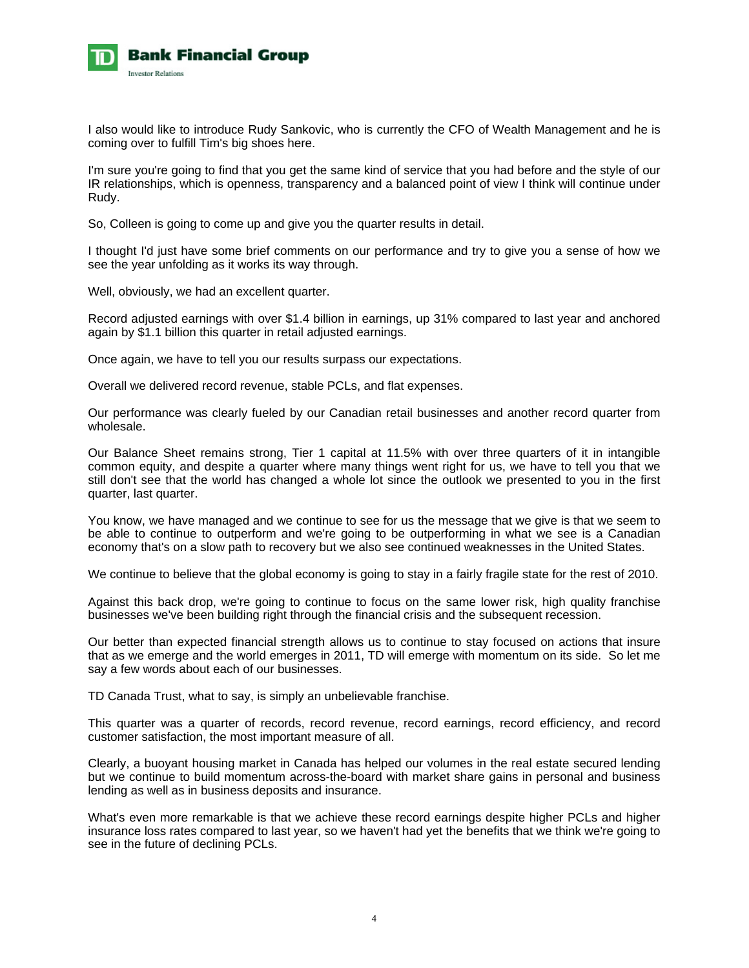

I also would like to introduce Rudy Sankovic, who is currently the CFO of Wealth Management and he is coming over to fulfill Tim's big shoes here.

I'm sure you're going to find that you get the same kind of service that you had before and the style of our IR relationships, which is openness, transparency and a balanced point of view I think will continue under Rudy.

So, Colleen is going to come up and give you the quarter results in detail.

I thought I'd just have some brief comments on our performance and try to give you a sense of how we see the year unfolding as it works its way through.

Well, obviously, we had an excellent quarter.

Record adjusted earnings with over \$1.4 billion in earnings, up 31% compared to last year and anchored again by \$1.1 billion this quarter in retail adjusted earnings.

Once again, we have to tell you our results surpass our expectations.

Overall we delivered record revenue, stable PCLs, and flat expenses.

Our performance was clearly fueled by our Canadian retail businesses and another record quarter from wholesale.

Our Balance Sheet remains strong, Tier 1 capital at 11.5% with over three quarters of it in intangible common equity, and despite a quarter where many things went right for us, we have to tell you that we still don't see that the world has changed a whole lot since the outlook we presented to you in the first quarter, last quarter.

You know, we have managed and we continue to see for us the message that we give is that we seem to be able to continue to outperform and we're going to be outperforming in what we see is a Canadian economy that's on a slow path to recovery but we also see continued weaknesses in the United States.

We continue to believe that the global economy is going to stay in a fairly fragile state for the rest of 2010.

Against this back drop, we're going to continue to focus on the same lower risk, high quality franchise businesses we've been building right through the financial crisis and the subsequent recession.

Our better than expected financial strength allows us to continue to stay focused on actions that insure that as we emerge and the world emerges in 2011, TD will emerge with momentum on its side. So let me say a few words about each of our businesses.

TD Canada Trust, what to say, is simply an unbelievable franchise.

This quarter was a quarter of records, record revenue, record earnings, record efficiency, and record customer satisfaction, the most important measure of all.

Clearly, a buoyant housing market in Canada has helped our volumes in the real estate secured lending but we continue to build momentum across-the-board with market share gains in personal and business lending as well as in business deposits and insurance.

What's even more remarkable is that we achieve these record earnings despite higher PCLs and higher insurance loss rates compared to last year, so we haven't had yet the benefits that we think we're going to see in the future of declining PCLs.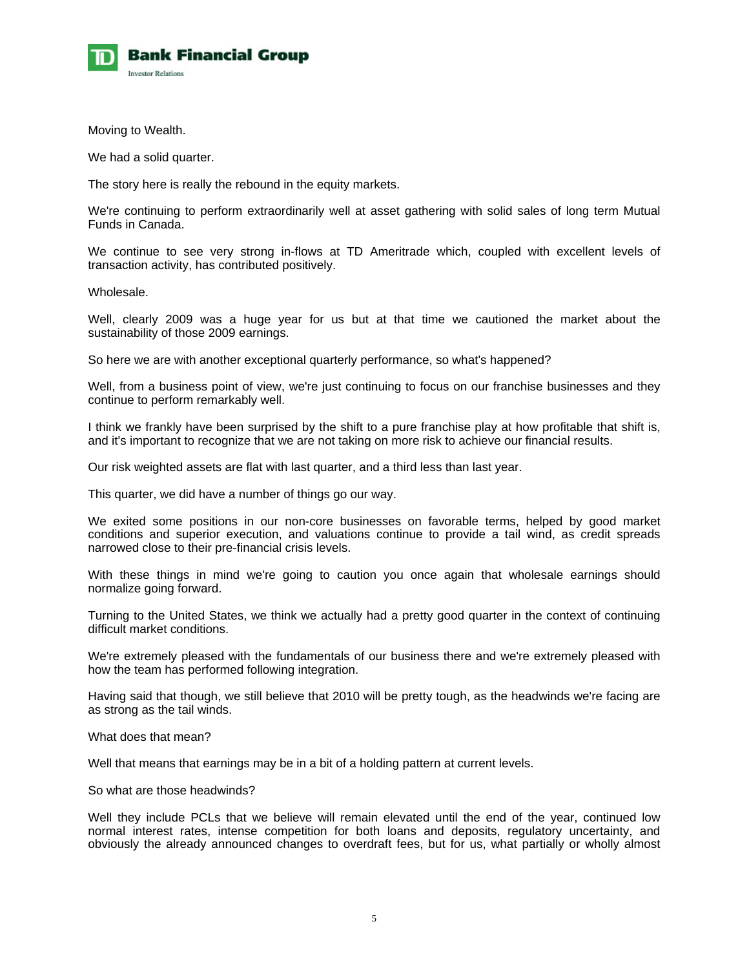

Moving to Wealth.

We had a solid quarter.

The story here is really the rebound in the equity markets.

We're continuing to perform extraordinarily well at asset gathering with solid sales of long term Mutual Funds in Canada.

We continue to see very strong in-flows at TD Ameritrade which, coupled with excellent levels of transaction activity, has contributed positively.

Wholesale.

Well, clearly 2009 was a huge year for us but at that time we cautioned the market about the sustainability of those 2009 earnings.

So here we are with another exceptional quarterly performance, so what's happened?

Well, from a business point of view, we're just continuing to focus on our franchise businesses and they continue to perform remarkably well.

I think we frankly have been surprised by the shift to a pure franchise play at how profitable that shift is, and it's important to recognize that we are not taking on more risk to achieve our financial results.

Our risk weighted assets are flat with last quarter, and a third less than last year.

This quarter, we did have a number of things go our way.

We exited some positions in our non-core businesses on favorable terms, helped by good market conditions and superior execution, and valuations continue to provide a tail wind, as credit spreads narrowed close to their pre-financial crisis levels.

With these things in mind we're going to caution you once again that wholesale earnings should normalize going forward.

Turning to the United States, we think we actually had a pretty good quarter in the context of continuing difficult market conditions.

We're extremely pleased with the fundamentals of our business there and we're extremely pleased with how the team has performed following integration.

Having said that though, we still believe that 2010 will be pretty tough, as the headwinds we're facing are as strong as the tail winds.

What does that mean?

Well that means that earnings may be in a bit of a holding pattern at current levels.

So what are those headwinds?

Well they include PCLs that we believe will remain elevated until the end of the year, continued low normal interest rates, intense competition for both loans and deposits, regulatory uncertainty, and obviously the already announced changes to overdraft fees, but for us, what partially or wholly almost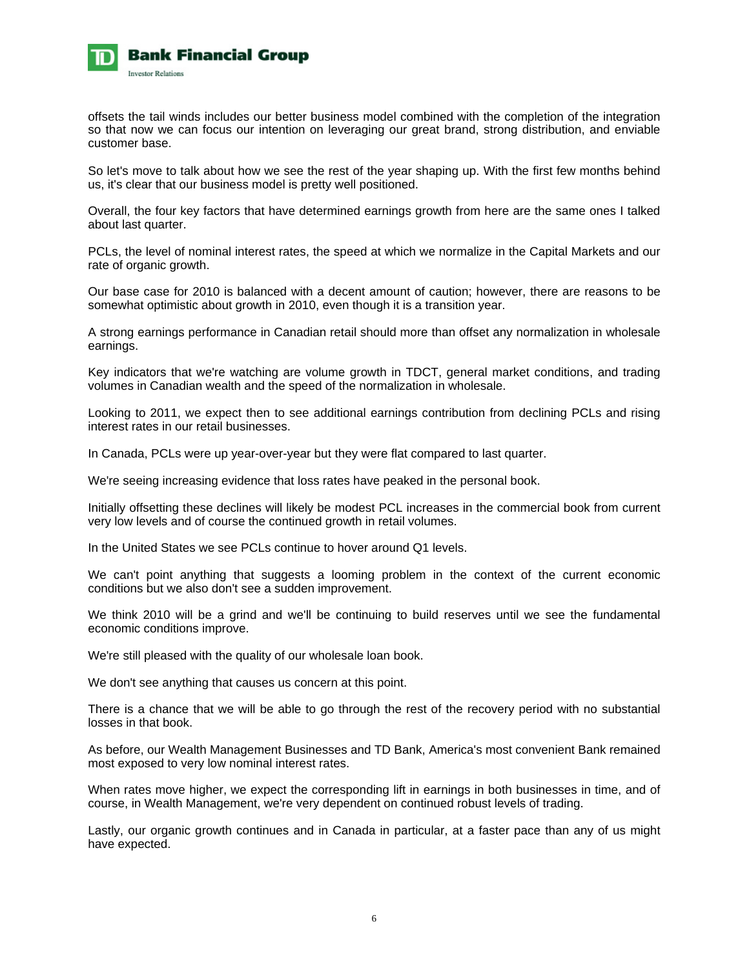

offsets the tail winds includes our better business model combined with the completion of the integration so that now we can focus our intention on leveraging our great brand, strong distribution, and enviable customer base.

So let's move to talk about how we see the rest of the year shaping up. With the first few months behind us, it's clear that our business model is pretty well positioned.

Overall, the four key factors that have determined earnings growth from here are the same ones I talked about last quarter.

PCLs, the level of nominal interest rates, the speed at which we normalize in the Capital Markets and our rate of organic growth.

Our base case for 2010 is balanced with a decent amount of caution; however, there are reasons to be somewhat optimistic about growth in 2010, even though it is a transition year.

A strong earnings performance in Canadian retail should more than offset any normalization in wholesale earnings.

Key indicators that we're watching are volume growth in TDCT, general market conditions, and trading volumes in Canadian wealth and the speed of the normalization in wholesale.

Looking to 2011, we expect then to see additional earnings contribution from declining PCLs and rising interest rates in our retail businesses.

In Canada, PCLs were up year-over-year but they were flat compared to last quarter.

We're seeing increasing evidence that loss rates have peaked in the personal book.

Initially offsetting these declines will likely be modest PCL increases in the commercial book from current very low levels and of course the continued growth in retail volumes.

In the United States we see PCLs continue to hover around Q1 levels.

We can't point anything that suggests a looming problem in the context of the current economic conditions but we also don't see a sudden improvement.

We think 2010 will be a grind and we'll be continuing to build reserves until we see the fundamental economic conditions improve.

We're still pleased with the quality of our wholesale loan book.

We don't see anything that causes us concern at this point.

There is a chance that we will be able to go through the rest of the recovery period with no substantial losses in that book.

As before, our Wealth Management Businesses and TD Bank, America's most convenient Bank remained most exposed to very low nominal interest rates.

When rates move higher, we expect the corresponding lift in earnings in both businesses in time, and of course, in Wealth Management, we're very dependent on continued robust levels of trading.

Lastly, our organic growth continues and in Canada in particular, at a faster pace than any of us might have expected.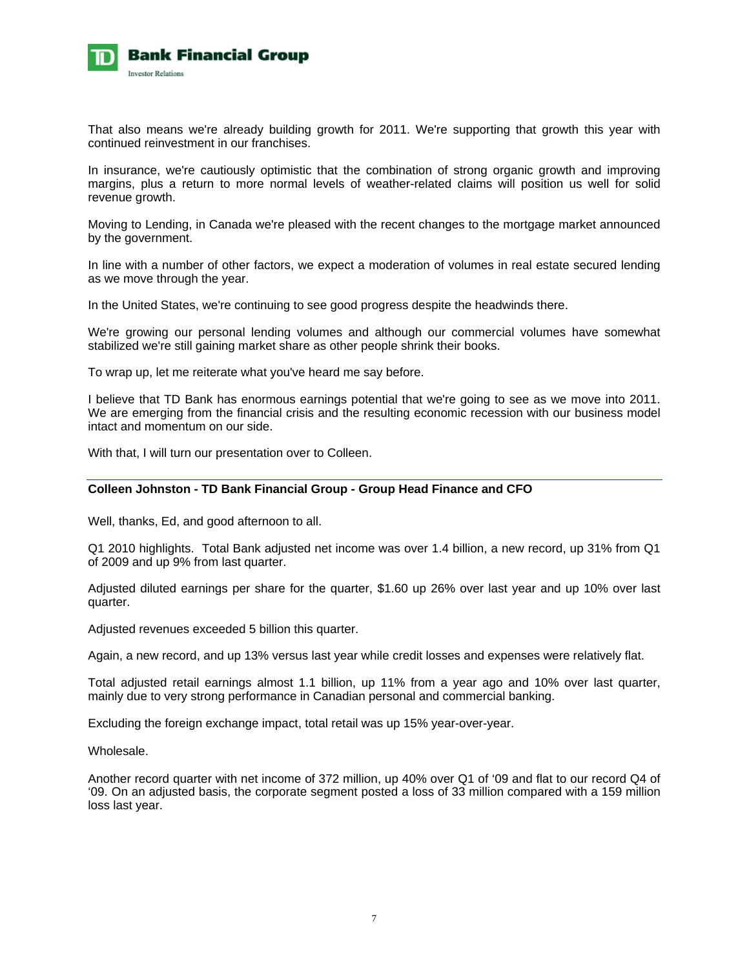

That also means we're already building growth for 2011. We're supporting that growth this year with continued reinvestment in our franchises.

In insurance, we're cautiously optimistic that the combination of strong organic growth and improving margins, plus a return to more normal levels of weather-related claims will position us well for solid revenue growth.

Moving to Lending, in Canada we're pleased with the recent changes to the mortgage market announced by the government.

In line with a number of other factors, we expect a moderation of volumes in real estate secured lending as we move through the year.

In the United States, we're continuing to see good progress despite the headwinds there.

We're growing our personal lending volumes and although our commercial volumes have somewhat stabilized we're still gaining market share as other people shrink their books.

To wrap up, let me reiterate what you've heard me say before.

I believe that TD Bank has enormous earnings potential that we're going to see as we move into 2011. We are emerging from the financial crisis and the resulting economic recession with our business model intact and momentum on our side.

With that, I will turn our presentation over to Colleen.

### **Colleen Johnston - TD Bank Financial Group - Group Head Finance and CFO**

Well, thanks, Ed, and good afternoon to all.

Q1 2010 highlights. Total Bank adjusted net income was over 1.4 billion, a new record, up 31% from Q1 of 2009 and up 9% from last quarter.

Adjusted diluted earnings per share for the quarter, \$1.60 up 26% over last year and up 10% over last quarter.

Adjusted revenues exceeded 5 billion this quarter.

Again, a new record, and up 13% versus last year while credit losses and expenses were relatively flat.

Total adjusted retail earnings almost 1.1 billion, up 11% from a year ago and 10% over last quarter, mainly due to very strong performance in Canadian personal and commercial banking.

Excluding the foreign exchange impact, total retail was up 15% year-over-year.

Wholesale.

Another record quarter with net income of 372 million, up 40% over Q1 of '09 and flat to our record Q4 of '09. On an adjusted basis, the corporate segment posted a loss of 33 million compared with a 159 million loss last year.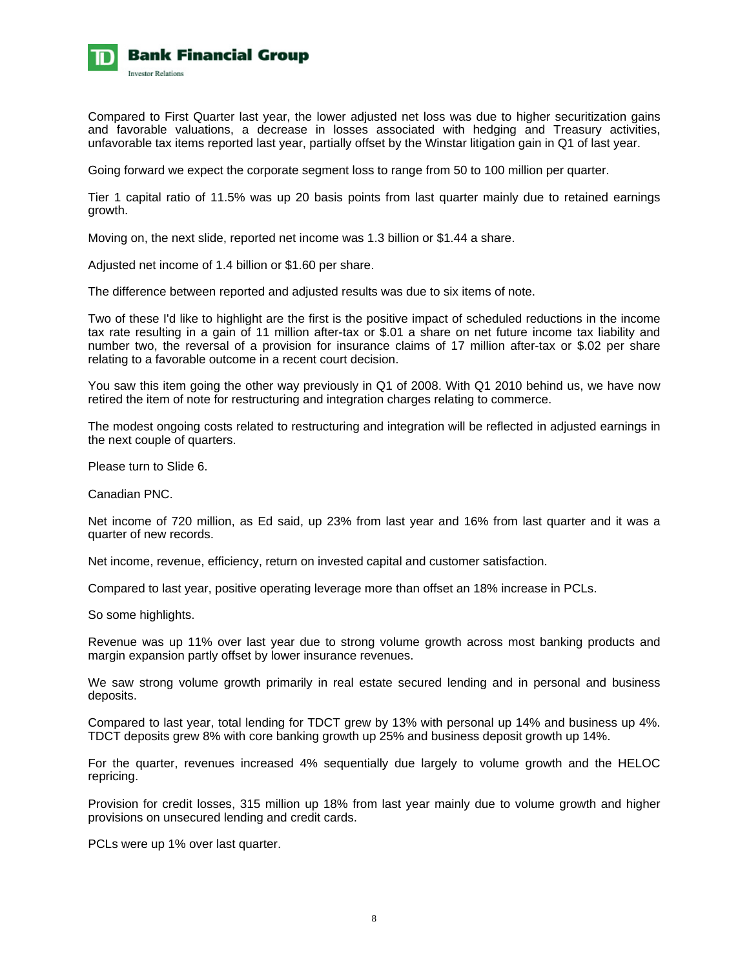

Compared to First Quarter last year, the lower adjusted net loss was due to higher securitization gains and favorable valuations, a decrease in losses associated with hedging and Treasury activities, unfavorable tax items reported last year, partially offset by the Winstar litigation gain in Q1 of last year.

Going forward we expect the corporate segment loss to range from 50 to 100 million per quarter.

Tier 1 capital ratio of 11.5% was up 20 basis points from last quarter mainly due to retained earnings growth.

Moving on, the next slide, reported net income was 1.3 billion or \$1.44 a share.

Adjusted net income of 1.4 billion or \$1.60 per share.

The difference between reported and adjusted results was due to six items of note.

Two of these I'd like to highlight are the first is the positive impact of scheduled reductions in the income tax rate resulting in a gain of 11 million after-tax or \$.01 a share on net future income tax liability and number two, the reversal of a provision for insurance claims of 17 million after-tax or \$.02 per share relating to a favorable outcome in a recent court decision.

You saw this item going the other way previously in Q1 of 2008. With Q1 2010 behind us, we have now retired the item of note for restructuring and integration charges relating to commerce.

The modest ongoing costs related to restructuring and integration will be reflected in adjusted earnings in the next couple of quarters.

Please turn to Slide 6.

Canadian PNC.

Net income of 720 million, as Ed said, up 23% from last year and 16% from last quarter and it was a quarter of new records.

Net income, revenue, efficiency, return on invested capital and customer satisfaction.

Compared to last year, positive operating leverage more than offset an 18% increase in PCLs.

So some highlights.

Revenue was up 11% over last year due to strong volume growth across most banking products and margin expansion partly offset by lower insurance revenues.

We saw strong volume growth primarily in real estate secured lending and in personal and business deposits.

Compared to last year, total lending for TDCT grew by 13% with personal up 14% and business up 4%. TDCT deposits grew 8% with core banking growth up 25% and business deposit growth up 14%.

For the quarter, revenues increased 4% sequentially due largely to volume growth and the HELOC repricing.

Provision for credit losses, 315 million up 18% from last year mainly due to volume growth and higher provisions on unsecured lending and credit cards.

PCLs were up 1% over last quarter.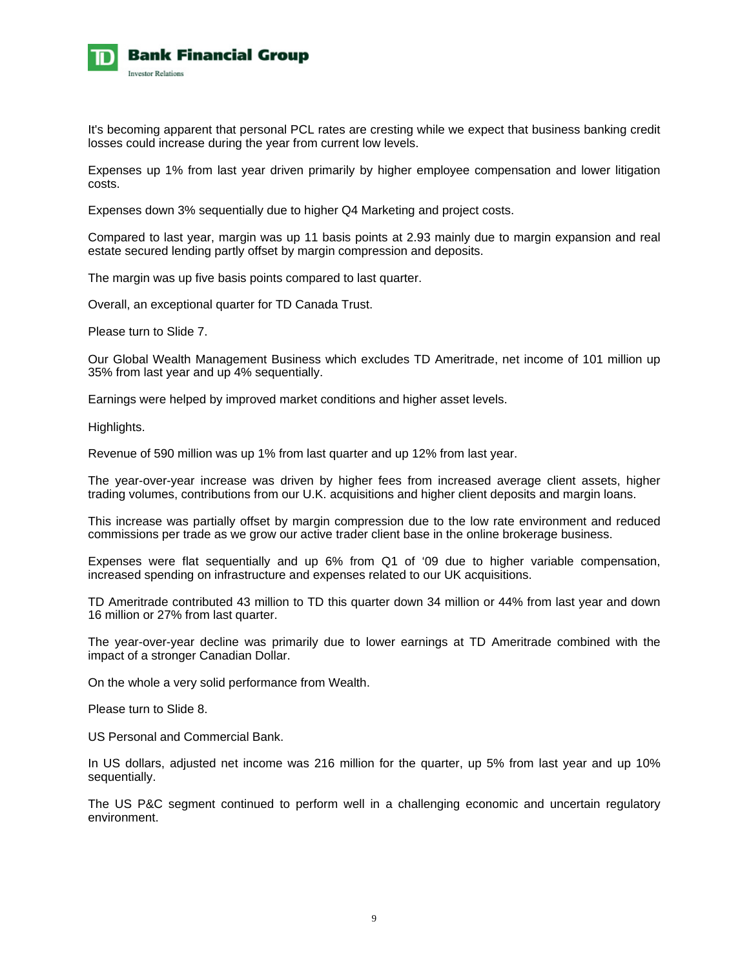

It's becoming apparent that personal PCL rates are cresting while we expect that business banking credit losses could increase during the year from current low levels.

Expenses up 1% from last year driven primarily by higher employee compensation and lower litigation costs.

Expenses down 3% sequentially due to higher Q4 Marketing and project costs.

Compared to last year, margin was up 11 basis points at 2.93 mainly due to margin expansion and real estate secured lending partly offset by margin compression and deposits.

The margin was up five basis points compared to last quarter.

Overall, an exceptional quarter for TD Canada Trust.

Please turn to Slide 7.

Our Global Wealth Management Business which excludes TD Ameritrade, net income of 101 million up 35% from last year and up 4% sequentially.

Earnings were helped by improved market conditions and higher asset levels.

Highlights.

Revenue of 590 million was up 1% from last quarter and up 12% from last year.

The year-over-year increase was driven by higher fees from increased average client assets, higher trading volumes, contributions from our U.K. acquisitions and higher client deposits and margin loans.

This increase was partially offset by margin compression due to the low rate environment and reduced commissions per trade as we grow our active trader client base in the online brokerage business.

Expenses were flat sequentially and up 6% from Q1 of '09 due to higher variable compensation, increased spending on infrastructure and expenses related to our UK acquisitions.

TD Ameritrade contributed 43 million to TD this quarter down 34 million or 44% from last year and down 16 million or 27% from last quarter.

The year-over-year decline was primarily due to lower earnings at TD Ameritrade combined with the impact of a stronger Canadian Dollar.

On the whole a very solid performance from Wealth.

Please turn to Slide 8.

US Personal and Commercial Bank.

In US dollars, adjusted net income was 216 million for the quarter, up 5% from last year and up 10% sequentially.

The US P&C segment continued to perform well in a challenging economic and uncertain regulatory environment.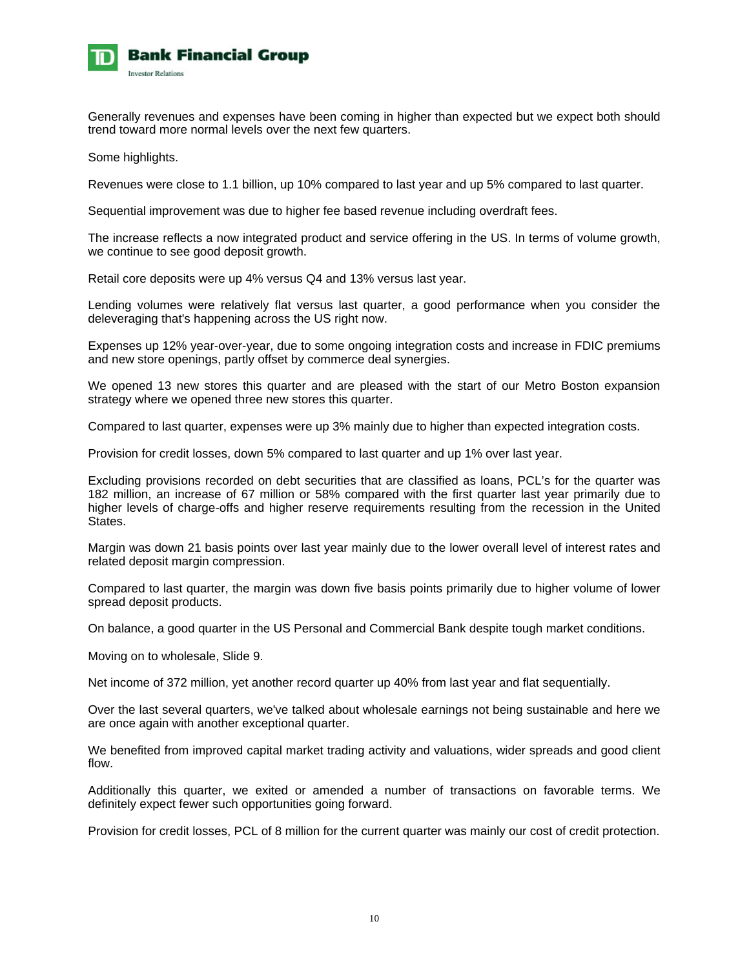

Generally revenues and expenses have been coming in higher than expected but we expect both should trend toward more normal levels over the next few quarters.

Some highlights.

Revenues were close to 1.1 billion, up 10% compared to last year and up 5% compared to last quarter.

Sequential improvement was due to higher fee based revenue including overdraft fees.

The increase reflects a now integrated product and service offering in the US. In terms of volume growth, we continue to see good deposit growth.

Retail core deposits were up 4% versus Q4 and 13% versus last year.

Lending volumes were relatively flat versus last quarter, a good performance when you consider the deleveraging that's happening across the US right now.

Expenses up 12% year-over-year, due to some ongoing integration costs and increase in FDIC premiums and new store openings, partly offset by commerce deal synergies.

We opened 13 new stores this quarter and are pleased with the start of our Metro Boston expansion strategy where we opened three new stores this quarter.

Compared to last quarter, expenses were up 3% mainly due to higher than expected integration costs.

Provision for credit losses, down 5% compared to last quarter and up 1% over last year.

Excluding provisions recorded on debt securities that are classified as loans, PCL's for the quarter was 182 million, an increase of 67 million or 58% compared with the first quarter last year primarily due to higher levels of charge-offs and higher reserve requirements resulting from the recession in the United States.

Margin was down 21 basis points over last year mainly due to the lower overall level of interest rates and related deposit margin compression.

Compared to last quarter, the margin was down five basis points primarily due to higher volume of lower spread deposit products.

On balance, a good quarter in the US Personal and Commercial Bank despite tough market conditions.

Moving on to wholesale, Slide 9.

Net income of 372 million, yet another record quarter up 40% from last year and flat sequentially.

Over the last several quarters, we've talked about wholesale earnings not being sustainable and here we are once again with another exceptional quarter.

We benefited from improved capital market trading activity and valuations, wider spreads and good client flow.

Additionally this quarter, we exited or amended a number of transactions on favorable terms. We definitely expect fewer such opportunities going forward.

Provision for credit losses, PCL of 8 million for the current quarter was mainly our cost of credit protection.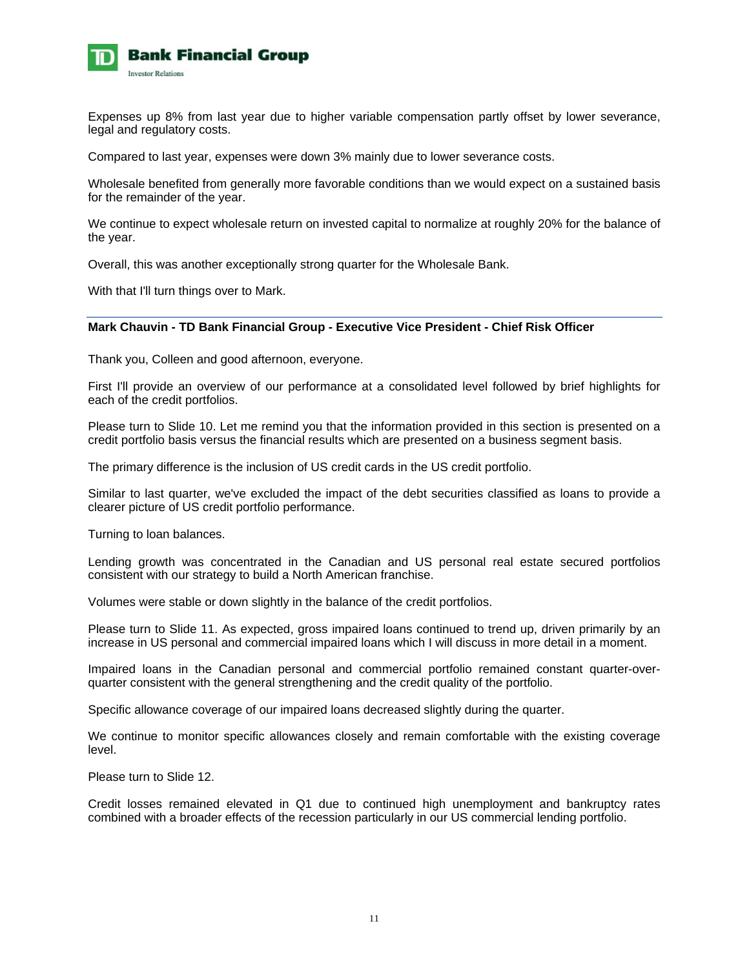

Expenses up 8% from last year due to higher variable compensation partly offset by lower severance, legal and regulatory costs.

Compared to last year, expenses were down 3% mainly due to lower severance costs.

Wholesale benefited from generally more favorable conditions than we would expect on a sustained basis for the remainder of the year.

We continue to expect wholesale return on invested capital to normalize at roughly 20% for the balance of the year.

Overall, this was another exceptionally strong quarter for the Wholesale Bank.

With that I'll turn things over to Mark.

#### **Mark Chauvin - TD Bank Financial Group - Executive Vice President - Chief Risk Officer**

Thank you, Colleen and good afternoon, everyone.

First I'll provide an overview of our performance at a consolidated level followed by brief highlights for each of the credit portfolios.

Please turn to Slide 10. Let me remind you that the information provided in this section is presented on a credit portfolio basis versus the financial results which are presented on a business segment basis.

The primary difference is the inclusion of US credit cards in the US credit portfolio.

Similar to last quarter, we've excluded the impact of the debt securities classified as loans to provide a clearer picture of US credit portfolio performance.

Turning to loan balances.

Lending growth was concentrated in the Canadian and US personal real estate secured portfolios consistent with our strategy to build a North American franchise.

Volumes were stable or down slightly in the balance of the credit portfolios.

Please turn to Slide 11. As expected, gross impaired loans continued to trend up, driven primarily by an increase in US personal and commercial impaired loans which I will discuss in more detail in a moment.

Impaired loans in the Canadian personal and commercial portfolio remained constant quarter-overquarter consistent with the general strengthening and the credit quality of the portfolio.

Specific allowance coverage of our impaired loans decreased slightly during the quarter.

We continue to monitor specific allowances closely and remain comfortable with the existing coverage level.

Please turn to Slide 12.

Credit losses remained elevated in Q1 due to continued high unemployment and bankruptcy rates combined with a broader effects of the recession particularly in our US commercial lending portfolio.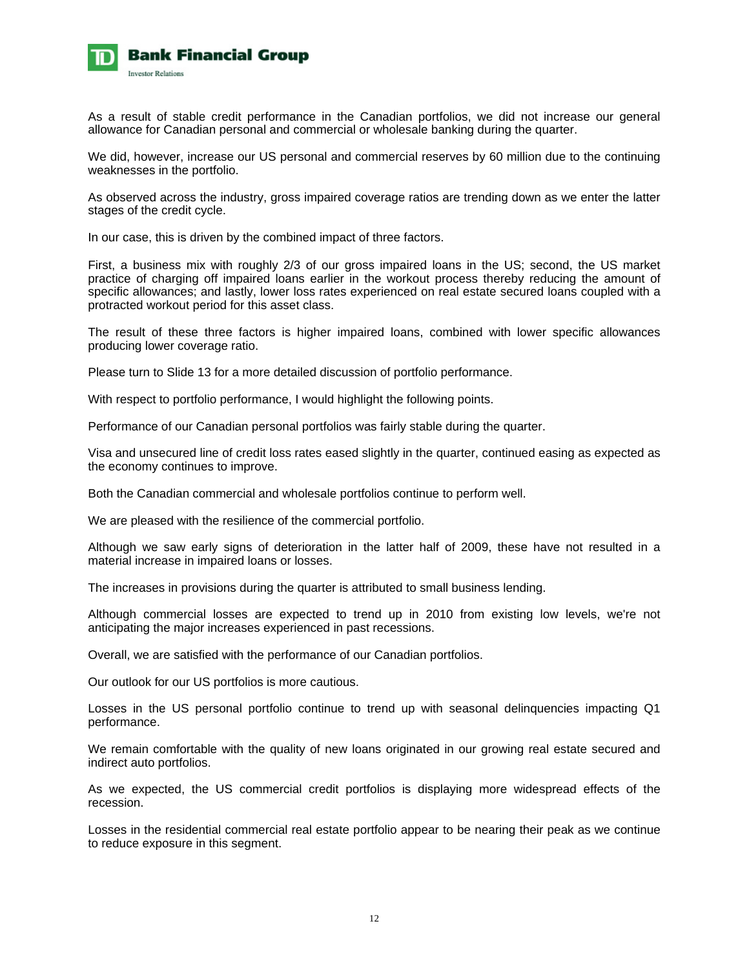

As a result of stable credit performance in the Canadian portfolios, we did not increase our general allowance for Canadian personal and commercial or wholesale banking during the quarter.

We did, however, increase our US personal and commercial reserves by 60 million due to the continuing weaknesses in the portfolio.

As observed across the industry, gross impaired coverage ratios are trending down as we enter the latter stages of the credit cycle.

In our case, this is driven by the combined impact of three factors.

First, a business mix with roughly 2/3 of our gross impaired loans in the US; second, the US market practice of charging off impaired loans earlier in the workout process thereby reducing the amount of specific allowances; and lastly, lower loss rates experienced on real estate secured loans coupled with a protracted workout period for this asset class.

The result of these three factors is higher impaired loans, combined with lower specific allowances producing lower coverage ratio.

Please turn to Slide 13 for a more detailed discussion of portfolio performance.

With respect to portfolio performance, I would highlight the following points.

Performance of our Canadian personal portfolios was fairly stable during the quarter.

Visa and unsecured line of credit loss rates eased slightly in the quarter, continued easing as expected as the economy continues to improve.

Both the Canadian commercial and wholesale portfolios continue to perform well.

We are pleased with the resilience of the commercial portfolio.

Although we saw early signs of deterioration in the latter half of 2009, these have not resulted in a material increase in impaired loans or losses.

The increases in provisions during the quarter is attributed to small business lending.

Although commercial losses are expected to trend up in 2010 from existing low levels, we're not anticipating the major increases experienced in past recessions.

Overall, we are satisfied with the performance of our Canadian portfolios.

Our outlook for our US portfolios is more cautious.

Losses in the US personal portfolio continue to trend up with seasonal delinquencies impacting Q1 performance.

We remain comfortable with the quality of new loans originated in our growing real estate secured and indirect auto portfolios.

As we expected, the US commercial credit portfolios is displaying more widespread effects of the recession.

Losses in the residential commercial real estate portfolio appear to be nearing their peak as we continue to reduce exposure in this segment.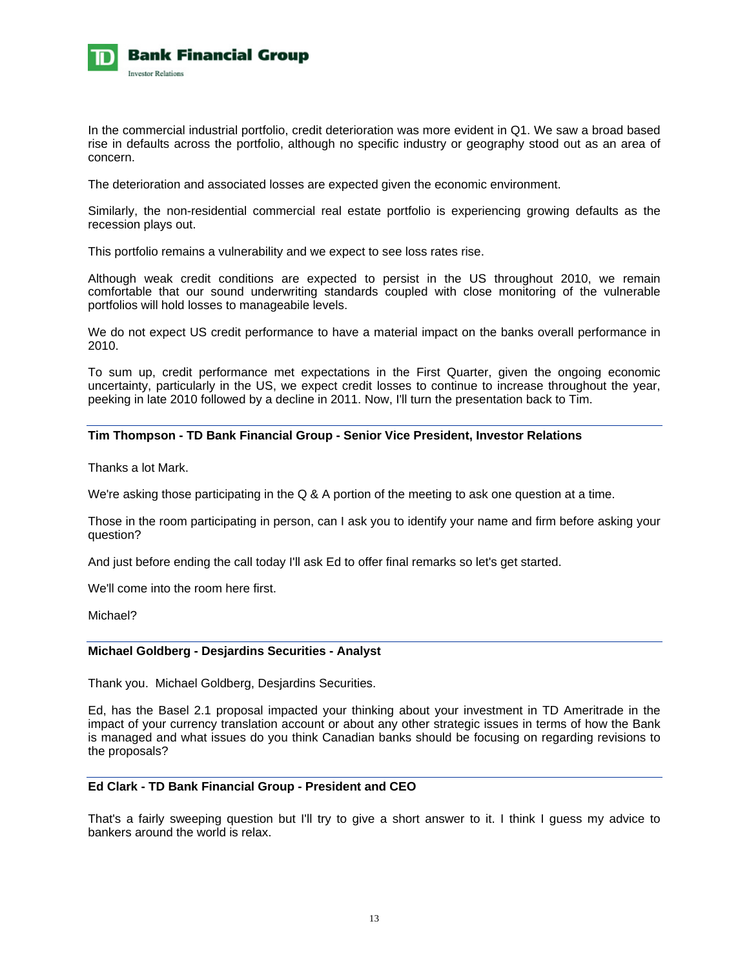

In the commercial industrial portfolio, credit deterioration was more evident in Q1. We saw a broad based rise in defaults across the portfolio, although no specific industry or geography stood out as an area of concern.

The deterioration and associated losses are expected given the economic environment.

Similarly, the non-residential commercial real estate portfolio is experiencing growing defaults as the recession plays out.

This portfolio remains a vulnerability and we expect to see loss rates rise.

Although weak credit conditions are expected to persist in the US throughout 2010, we remain comfortable that our sound underwriting standards coupled with close monitoring of the vulnerable portfolios will hold losses to manageabile levels.

We do not expect US credit performance to have a material impact on the banks overall performance in 2010.

To sum up, credit performance met expectations in the First Quarter, given the ongoing economic uncertainty, particularly in the US, we expect credit losses to continue to increase throughout the year, peeking in late 2010 followed by a decline in 2011. Now, I'll turn the presentation back to Tim.

### **Tim Thompson - TD Bank Financial Group - Senior Vice President, Investor Relations**

Thanks a lot Mark.

We're asking those participating in the Q & A portion of the meeting to ask one question at a time.

Those in the room participating in person, can I ask you to identify your name and firm before asking your question?

And just before ending the call today I'll ask Ed to offer final remarks so let's get started.

We'll come into the room here first.

Michael?

#### **Michael Goldberg - Desjardins Securities - Analyst**

Thank you. Michael Goldberg, Desjardins Securities.

Ed, has the Basel 2.1 proposal impacted your thinking about your investment in TD Ameritrade in the impact of your currency translation account or about any other strategic issues in terms of how the Bank is managed and what issues do you think Canadian banks should be focusing on regarding revisions to the proposals?

### **Ed Clark - TD Bank Financial Group - President and CEO**

That's a fairly sweeping question but I'll try to give a short answer to it. I think I guess my advice to bankers around the world is relax.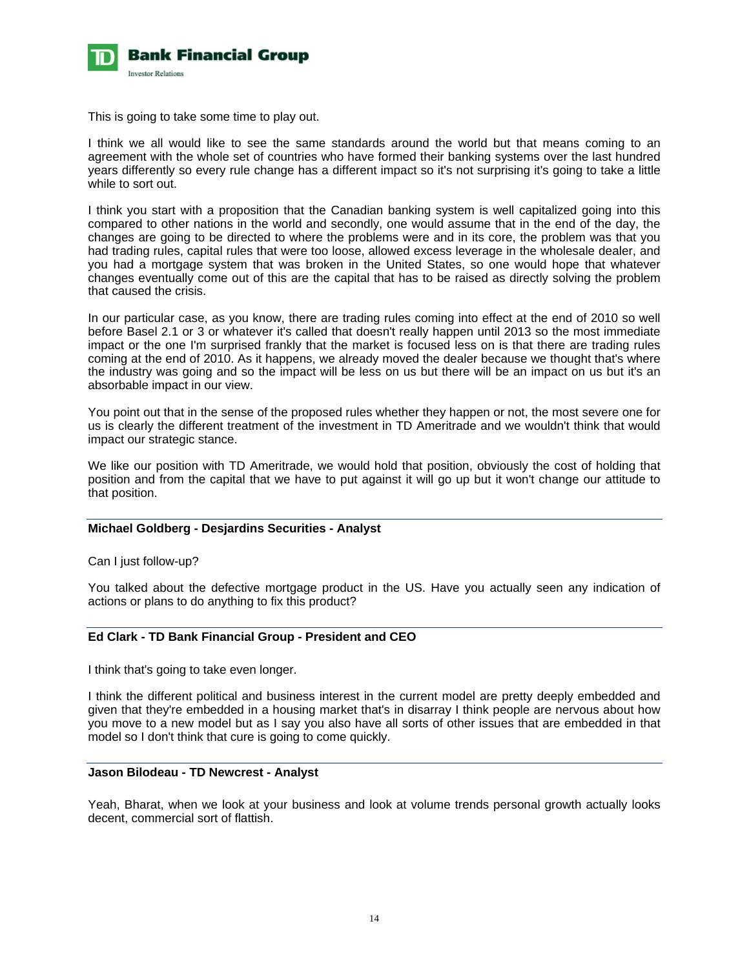

This is going to take some time to play out.

I think we all would like to see the same standards around the world but that means coming to an agreement with the whole set of countries who have formed their banking systems over the last hundred years differently so every rule change has a different impact so it's not surprising it's going to take a little while to sort out.

I think you start with a proposition that the Canadian banking system is well capitalized going into this compared to other nations in the world and secondly, one would assume that in the end of the day, the changes are going to be directed to where the problems were and in its core, the problem was that you had trading rules, capital rules that were too loose, allowed excess leverage in the wholesale dealer, and you had a mortgage system that was broken in the United States, so one would hope that whatever changes eventually come out of this are the capital that has to be raised as directly solving the problem that caused the crisis.

In our particular case, as you know, there are trading rules coming into effect at the end of 2010 so well before Basel 2.1 or 3 or whatever it's called that doesn't really happen until 2013 so the most immediate impact or the one I'm surprised frankly that the market is focused less on is that there are trading rules coming at the end of 2010. As it happens, we already moved the dealer because we thought that's where the industry was going and so the impact will be less on us but there will be an impact on us but it's an absorbable impact in our view.

You point out that in the sense of the proposed rules whether they happen or not, the most severe one for us is clearly the different treatment of the investment in TD Ameritrade and we wouldn't think that would impact our strategic stance.

We like our position with TD Ameritrade, we would hold that position, obviously the cost of holding that position and from the capital that we have to put against it will go up but it won't change our attitude to that position.

### **Michael Goldberg - Desjardins Securities - Analyst**

Can I just follow-up?

You talked about the defective mortgage product in the US. Have you actually seen any indication of actions or plans to do anything to fix this product?

#### **Ed Clark - TD Bank Financial Group - President and CEO**

I think that's going to take even longer.

I think the different political and business interest in the current model are pretty deeply embedded and given that they're embedded in a housing market that's in disarray I think people are nervous about how you move to a new model but as I say you also have all sorts of other issues that are embedded in that model so I don't think that cure is going to come quickly.

#### **Jason Bilodeau - TD Newcrest - Analyst**

Yeah, Bharat, when we look at your business and look at volume trends personal growth actually looks decent, commercial sort of flattish.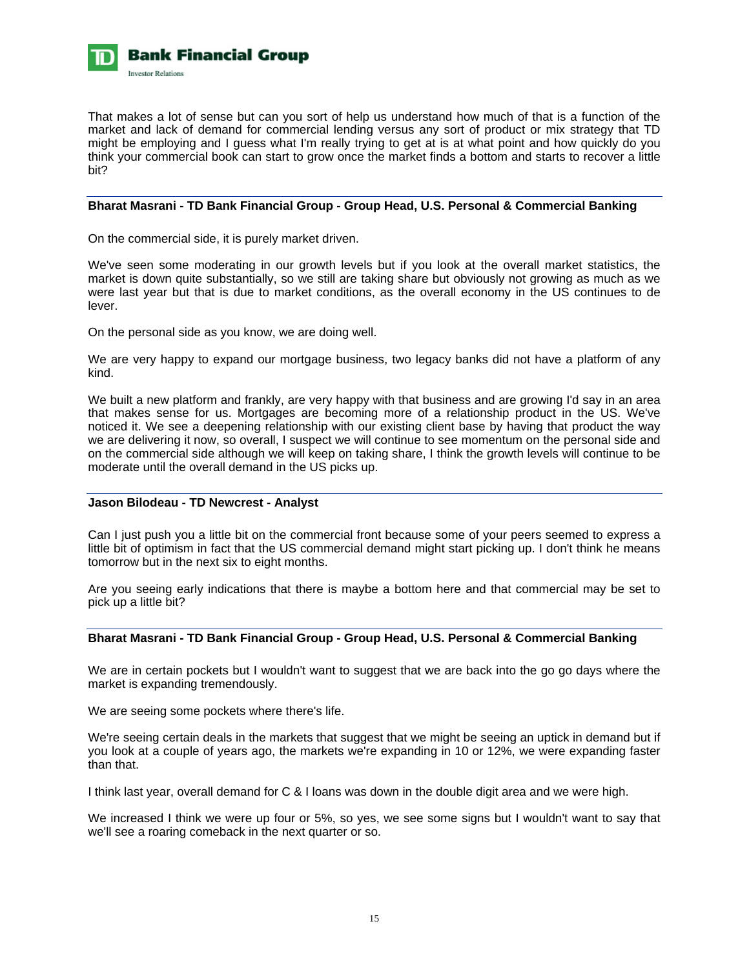

That makes a lot of sense but can you sort of help us understand how much of that is a function of the market and lack of demand for commercial lending versus any sort of product or mix strategy that TD might be employing and I guess what I'm really trying to get at is at what point and how quickly do you think your commercial book can start to grow once the market finds a bottom and starts to recover a little bit?

### **Bharat Masrani - TD Bank Financial Group - Group Head, U.S. Personal & Commercial Banking**

On the commercial side, it is purely market driven.

We've seen some moderating in our growth levels but if you look at the overall market statistics, the market is down quite substantially, so we still are taking share but obviously not growing as much as we were last year but that is due to market conditions, as the overall economy in the US continues to de lever.

On the personal side as you know, we are doing well.

We are very happy to expand our mortgage business, two legacy banks did not have a platform of any kind.

We built a new platform and frankly, are very happy with that business and are growing I'd say in an area that makes sense for us. Mortgages are becoming more of a relationship product in the US. We've noticed it. We see a deepening relationship with our existing client base by having that product the way we are delivering it now, so overall, I suspect we will continue to see momentum on the personal side and on the commercial side although we will keep on taking share, I think the growth levels will continue to be moderate until the overall demand in the US picks up.

#### **Jason Bilodeau - TD Newcrest - Analyst**

Can I just push you a little bit on the commercial front because some of your peers seemed to express a little bit of optimism in fact that the US commercial demand might start picking up. I don't think he means tomorrow but in the next six to eight months.

Are you seeing early indications that there is maybe a bottom here and that commercial may be set to pick up a little bit?

# **Bharat Masrani - TD Bank Financial Group - Group Head, U.S. Personal & Commercial Banking**

We are in certain pockets but I wouldn't want to suggest that we are back into the go go days where the market is expanding tremendously.

We are seeing some pockets where there's life.

We're seeing certain deals in the markets that suggest that we might be seeing an uptick in demand but if you look at a couple of years ago, the markets we're expanding in 10 or 12%, we were expanding faster than that.

I think last year, overall demand for C & I loans was down in the double digit area and we were high.

We increased I think we were up four or 5%, so yes, we see some signs but I wouldn't want to say that we'll see a roaring comeback in the next quarter or so.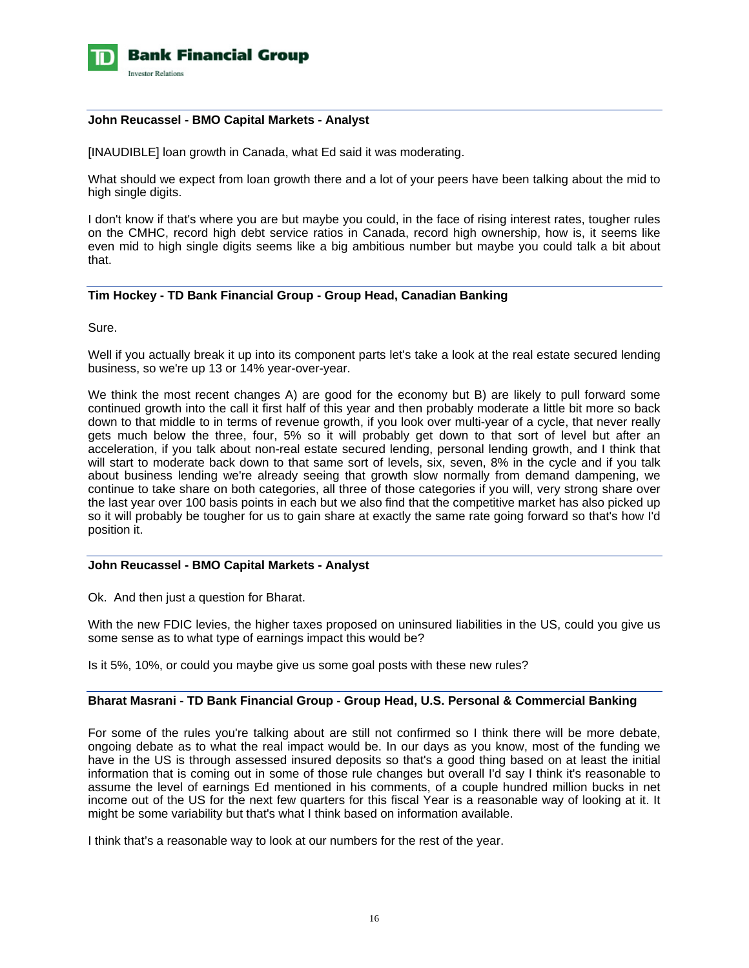

### **John Reucassel - BMO Capital Markets - Analyst**

[INAUDIBLE] loan growth in Canada, what Ed said it was moderating.

What should we expect from loan growth there and a lot of your peers have been talking about the mid to high single digits.

I don't know if that's where you are but maybe you could, in the face of rising interest rates, tougher rules on the CMHC, record high debt service ratios in Canada, record high ownership, how is, it seems like even mid to high single digits seems like a big ambitious number but maybe you could talk a bit about that.

# **Tim Hockey - TD Bank Financial Group - Group Head, Canadian Banking**

Sure.

Well if you actually break it up into its component parts let's take a look at the real estate secured lending business, so we're up 13 or 14% year-over-year.

We think the most recent changes A) are good for the economy but B) are likely to pull forward some continued growth into the call it first half of this year and then probably moderate a little bit more so back down to that middle to in terms of revenue growth, if you look over multi-year of a cycle, that never really gets much below the three, four, 5% so it will probably get down to that sort of level but after an acceleration, if you talk about non-real estate secured lending, personal lending growth, and I think that will start to moderate back down to that same sort of levels, six, seven, 8% in the cycle and if you talk about business lending we're already seeing that growth slow normally from demand dampening, we continue to take share on both categories, all three of those categories if you will, very strong share over the last year over 100 basis points in each but we also find that the competitive market has also picked up so it will probably be tougher for us to gain share at exactly the same rate going forward so that's how I'd position it.

### **John Reucassel - BMO Capital Markets - Analyst**

Ok. And then just a question for Bharat.

With the new FDIC levies, the higher taxes proposed on uninsured liabilities in the US, could you give us some sense as to what type of earnings impact this would be?

Is it 5%, 10%, or could you maybe give us some goal posts with these new rules?

### **Bharat Masrani - TD Bank Financial Group - Group Head, U.S. Personal & Commercial Banking**

For some of the rules you're talking about are still not confirmed so I think there will be more debate, ongoing debate as to what the real impact would be. In our days as you know, most of the funding we have in the US is through assessed insured deposits so that's a good thing based on at least the initial information that is coming out in some of those rule changes but overall I'd say I think it's reasonable to assume the level of earnings Ed mentioned in his comments, of a couple hundred million bucks in net income out of the US for the next few quarters for this fiscal Year is a reasonable way of looking at it. It might be some variability but that's what I think based on information available.

I think that's a reasonable way to look at our numbers for the rest of the year.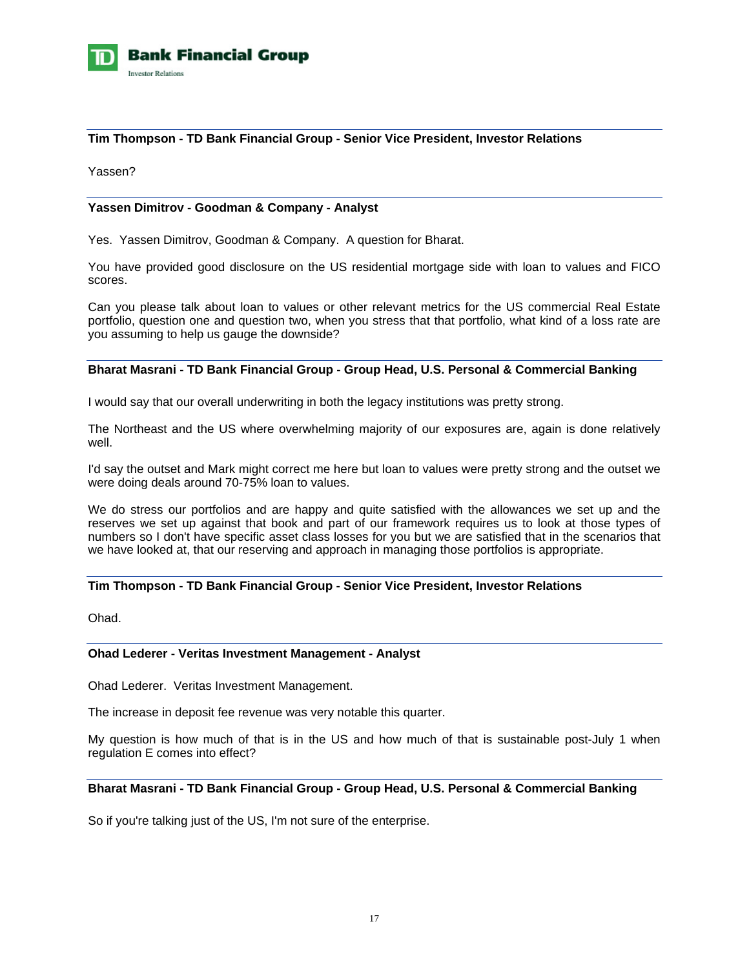

### **Tim Thompson - TD Bank Financial Group - Senior Vice President, Investor Relations**

Yassen?

### **Yassen Dimitrov - Goodman & Company - Analyst**

Yes. Yassen Dimitrov, Goodman & Company. A question for Bharat.

You have provided good disclosure on the US residential mortgage side with loan to values and FICO scores.

Can you please talk about loan to values or other relevant metrics for the US commercial Real Estate portfolio, question one and question two, when you stress that that portfolio, what kind of a loss rate are you assuming to help us gauge the downside?

# **Bharat Masrani - TD Bank Financial Group - Group Head, U.S. Personal & Commercial Banking**

I would say that our overall underwriting in both the legacy institutions was pretty strong.

The Northeast and the US where overwhelming majority of our exposures are, again is done relatively well.

I'd say the outset and Mark might correct me here but loan to values were pretty strong and the outset we were doing deals around 70-75% loan to values.

We do stress our portfolios and are happy and quite satisfied with the allowances we set up and the reserves we set up against that book and part of our framework requires us to look at those types of numbers so I don't have specific asset class losses for you but we are satisfied that in the scenarios that we have looked at, that our reserving and approach in managing those portfolios is appropriate.

### **Tim Thompson - TD Bank Financial Group - Senior Vice President, Investor Relations**

Ohad.

#### **Ohad Lederer - Veritas Investment Management - Analyst**

Ohad Lederer. Veritas Investment Management.

The increase in deposit fee revenue was very notable this quarter.

My question is how much of that is in the US and how much of that is sustainable post-July 1 when regulation E comes into effect?

### **Bharat Masrani - TD Bank Financial Group - Group Head, U.S. Personal & Commercial Banking**

So if you're talking just of the US, I'm not sure of the enterprise.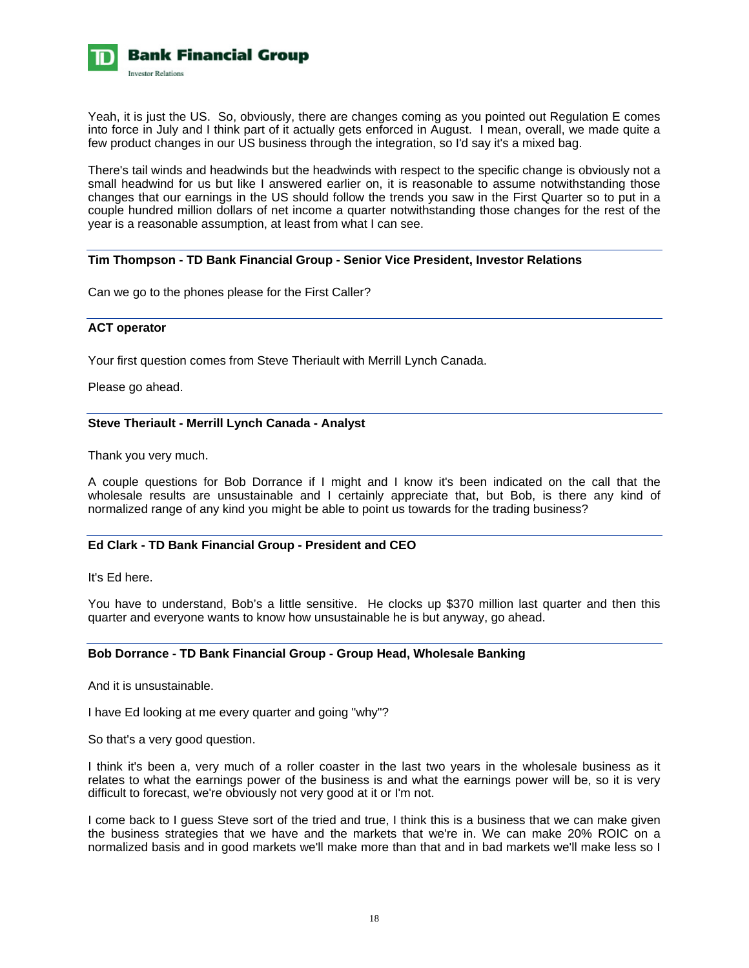

Yeah, it is just the US. So, obviously, there are changes coming as you pointed out Regulation E comes into force in July and I think part of it actually gets enforced in August. I mean, overall, we made quite a few product changes in our US business through the integration, so I'd say it's a mixed bag.

There's tail winds and headwinds but the headwinds with respect to the specific change is obviously not a small headwind for us but like I answered earlier on, it is reasonable to assume notwithstanding those changes that our earnings in the US should follow the trends you saw in the First Quarter so to put in a couple hundred million dollars of net income a quarter notwithstanding those changes for the rest of the year is a reasonable assumption, at least from what I can see.

### **Tim Thompson - TD Bank Financial Group - Senior Vice President, Investor Relations**

Can we go to the phones please for the First Caller?

### **ACT operator**

Your first question comes from Steve Theriault with Merrill Lynch Canada.

Please go ahead.

### **Steve Theriault - Merrill Lynch Canada - Analyst**

Thank you very much.

A couple questions for Bob Dorrance if I might and I know it's been indicated on the call that the wholesale results are unsustainable and I certainly appreciate that, but Bob, is there any kind of normalized range of any kind you might be able to point us towards for the trading business?

### **Ed Clark - TD Bank Financial Group - President and CEO**

It's Ed here.

You have to understand, Bob's a little sensitive. He clocks up \$370 million last quarter and then this quarter and everyone wants to know how unsustainable he is but anyway, go ahead.

### **Bob Dorrance - TD Bank Financial Group - Group Head, Wholesale Banking**

And it is unsustainable.

I have Ed looking at me every quarter and going "why"?

So that's a very good question.

I think it's been a, very much of a roller coaster in the last two years in the wholesale business as it relates to what the earnings power of the business is and what the earnings power will be, so it is very difficult to forecast, we're obviously not very good at it or I'm not.

I come back to I guess Steve sort of the tried and true, I think this is a business that we can make given the business strategies that we have and the markets that we're in. We can make 20% ROIC on a normalized basis and in good markets we'll make more than that and in bad markets we'll make less so I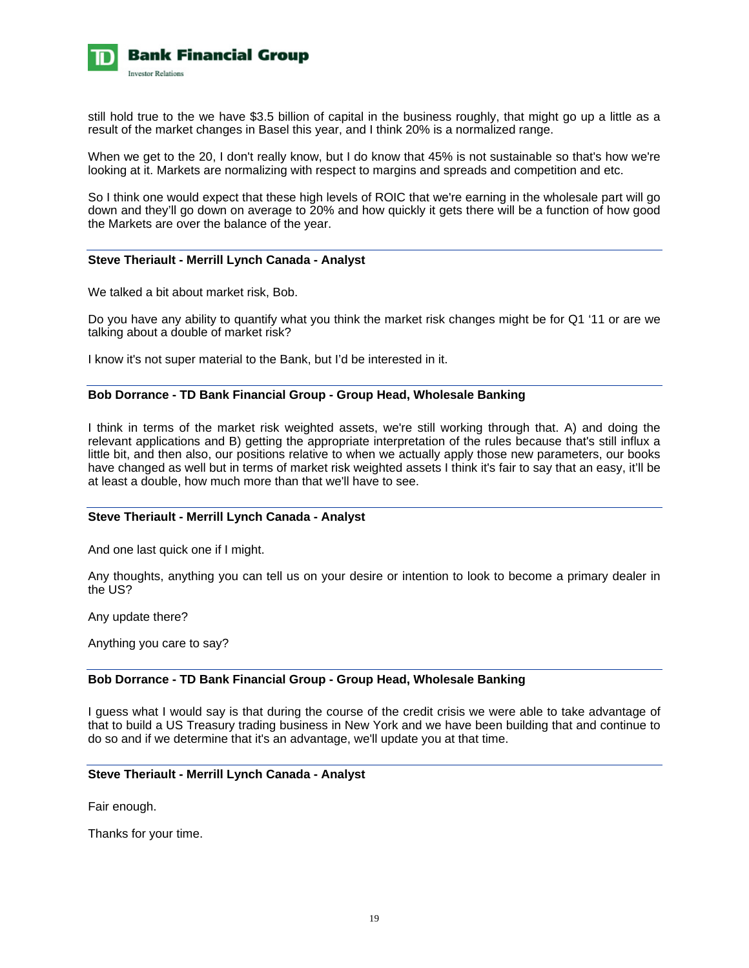

still hold true to the we have \$3.5 billion of capital in the business roughly, that might go up a little as a result of the market changes in Basel this year, and I think 20% is a normalized range.

When we get to the 20, I don't really know, but I do know that 45% is not sustainable so that's how we're looking at it. Markets are normalizing with respect to margins and spreads and competition and etc.

So I think one would expect that these high levels of ROIC that we're earning in the wholesale part will go down and they'll go down on average to 20% and how quickly it gets there will be a function of how good the Markets are over the balance of the year.

#### **Steve Theriault - Merrill Lynch Canada - Analyst**

We talked a bit about market risk, Bob.

Do you have any ability to quantify what you think the market risk changes might be for Q1 '11 or are we talking about a double of market risk?

I know it's not super material to the Bank, but I'd be interested in it.

#### **Bob Dorrance - TD Bank Financial Group - Group Head, Wholesale Banking**

I think in terms of the market risk weighted assets, we're still working through that. A) and doing the relevant applications and B) getting the appropriate interpretation of the rules because that's still influx a little bit, and then also, our positions relative to when we actually apply those new parameters, our books have changed as well but in terms of market risk weighted assets I think it's fair to say that an easy, it'll be at least a double, how much more than that we'll have to see.

### **Steve Theriault - Merrill Lynch Canada - Analyst**

And one last quick one if I might.

Any thoughts, anything you can tell us on your desire or intention to look to become a primary dealer in the US?

Any update there?

Anything you care to say?

#### **Bob Dorrance - TD Bank Financial Group - Group Head, Wholesale Banking**

I guess what I would say is that during the course of the credit crisis we were able to take advantage of that to build a US Treasury trading business in New York and we have been building that and continue to do so and if we determine that it's an advantage, we'll update you at that time.

### **Steve Theriault - Merrill Lynch Canada - Analyst**

Fair enough.

Thanks for your time.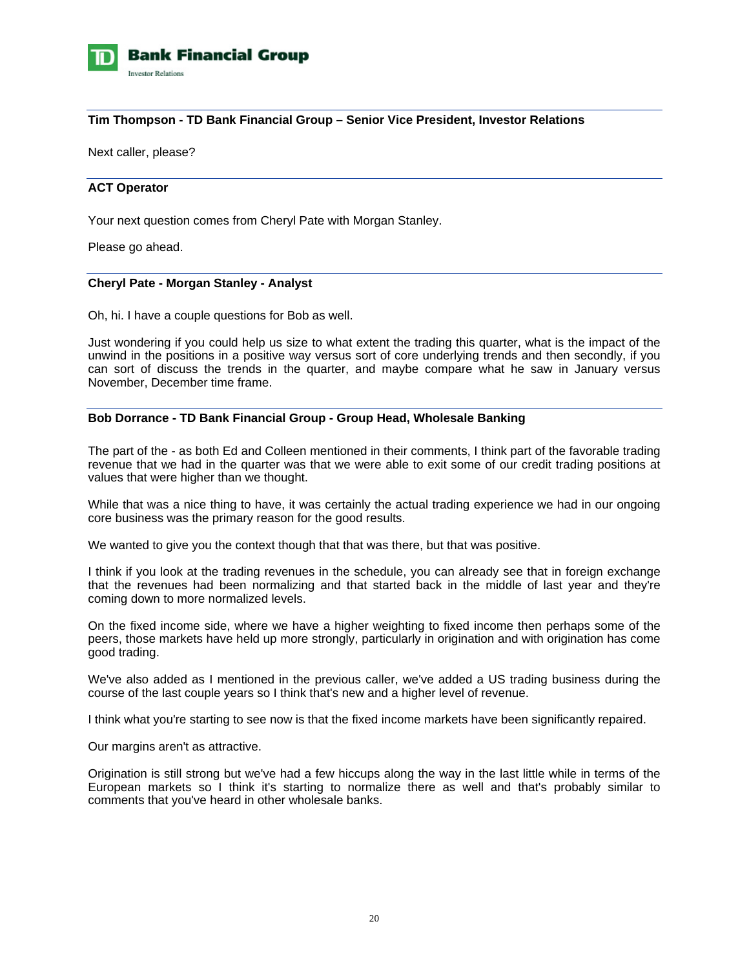

### **Tim Thompson - TD Bank Financial Group – Senior Vice President, Investor Relations**

Next caller, please?

### **ACT Operator**

Your next question comes from Cheryl Pate with Morgan Stanley.

Please go ahead.

### **Cheryl Pate - Morgan Stanley - Analyst**

Oh, hi. I have a couple questions for Bob as well.

Just wondering if you could help us size to what extent the trading this quarter, what is the impact of the unwind in the positions in a positive way versus sort of core underlying trends and then secondly, if you can sort of discuss the trends in the quarter, and maybe compare what he saw in January versus November, December time frame.

#### **Bob Dorrance - TD Bank Financial Group - Group Head, Wholesale Banking**

The part of the - as both Ed and Colleen mentioned in their comments, I think part of the favorable trading revenue that we had in the quarter was that we were able to exit some of our credit trading positions at values that were higher than we thought.

While that was a nice thing to have, it was certainly the actual trading experience we had in our ongoing core business was the primary reason for the good results.

We wanted to give you the context though that that was there, but that was positive.

I think if you look at the trading revenues in the schedule, you can already see that in foreign exchange that the revenues had been normalizing and that started back in the middle of last year and they're coming down to more normalized levels.

On the fixed income side, where we have a higher weighting to fixed income then perhaps some of the peers, those markets have held up more strongly, particularly in origination and with origination has come good trading.

We've also added as I mentioned in the previous caller, we've added a US trading business during the course of the last couple years so I think that's new and a higher level of revenue.

I think what you're starting to see now is that the fixed income markets have been significantly repaired.

Our margins aren't as attractive.

Origination is still strong but we've had a few hiccups along the way in the last little while in terms of the European markets so I think it's starting to normalize there as well and that's probably similar to comments that you've heard in other wholesale banks.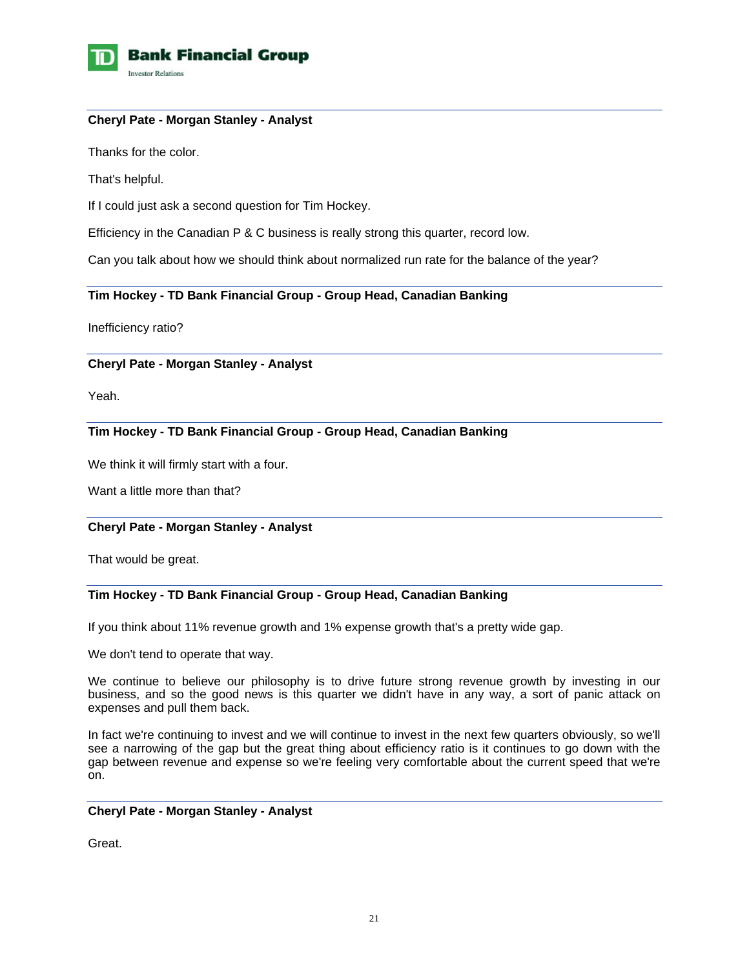

### **Cheryl Pate - Morgan Stanley - Analyst**

Thanks for the color.

That's helpful.

If I could just ask a second question for Tim Hockey.

Efficiency in the Canadian P & C business is really strong this quarter, record low.

Can you talk about how we should think about normalized run rate for the balance of the year?

### **Tim Hockey - TD Bank Financial Group - Group Head, Canadian Banking**

Inefficiency ratio?

### **Cheryl Pate - Morgan Stanley - Analyst**

Yeah.

# **Tim Hockey - TD Bank Financial Group - Group Head, Canadian Banking**

We think it will firmly start with a four.

Want a little more than that?

### **Cheryl Pate - Morgan Stanley - Analyst**

That would be great.

# **Tim Hockey - TD Bank Financial Group - Group Head, Canadian Banking**

If you think about 11% revenue growth and 1% expense growth that's a pretty wide gap.

We don't tend to operate that way.

We continue to believe our philosophy is to drive future strong revenue growth by investing in our business, and so the good news is this quarter we didn't have in any way, a sort of panic attack on expenses and pull them back.

In fact we're continuing to invest and we will continue to invest in the next few quarters obviously, so we'll see a narrowing of the gap but the great thing about efficiency ratio is it continues to go down with the gap between revenue and expense so we're feeling very comfortable about the current speed that we're on.

### **Cheryl Pate - Morgan Stanley - Analyst**

Great.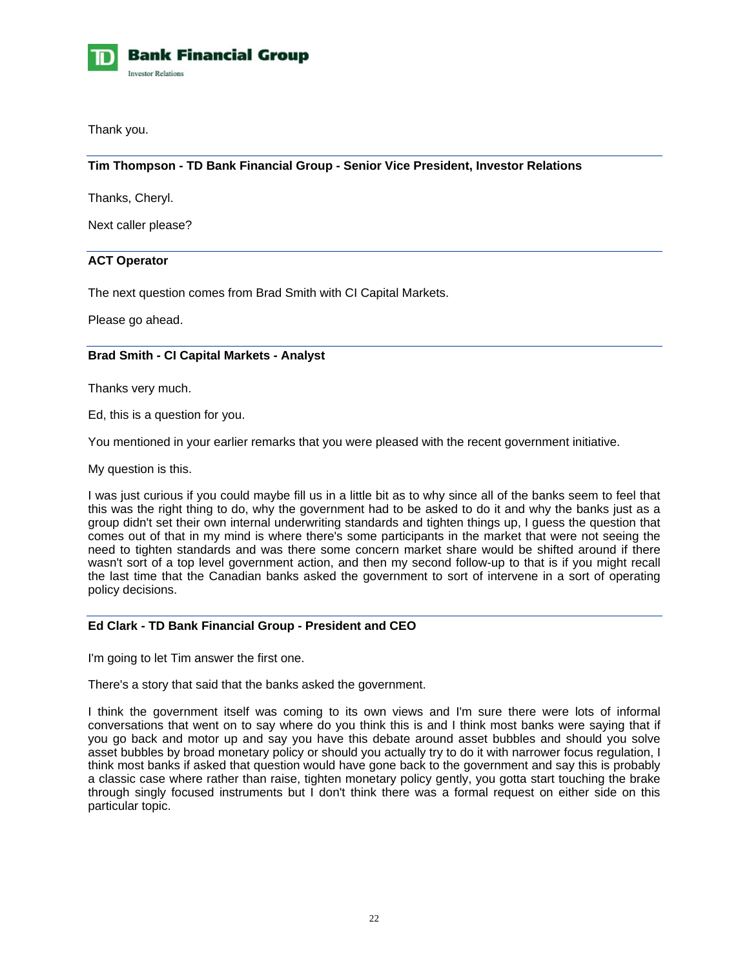

Thank you.

# **Tim Thompson - TD Bank Financial Group - Senior Vice President, Investor Relations**

Thanks, Cheryl.

Next caller please?

### **ACT Operator**

The next question comes from Brad Smith with CI Capital Markets.

Please go ahead.

### **Brad Smith - CI Capital Markets - Analyst**

Thanks very much.

Ed, this is a question for you.

You mentioned in your earlier remarks that you were pleased with the recent government initiative.

My question is this.

I was just curious if you could maybe fill us in a little bit as to why since all of the banks seem to feel that this was the right thing to do, why the government had to be asked to do it and why the banks just as a group didn't set their own internal underwriting standards and tighten things up, I guess the question that comes out of that in my mind is where there's some participants in the market that were not seeing the need to tighten standards and was there some concern market share would be shifted around if there wasn't sort of a top level government action, and then my second follow-up to that is if you might recall the last time that the Canadian banks asked the government to sort of intervene in a sort of operating policy decisions.

### **Ed Clark - TD Bank Financial Group - President and CEO**

I'm going to let Tim answer the first one.

There's a story that said that the banks asked the government.

I think the government itself was coming to its own views and I'm sure there were lots of informal conversations that went on to say where do you think this is and I think most banks were saying that if you go back and motor up and say you have this debate around asset bubbles and should you solve asset bubbles by broad monetary policy or should you actually try to do it with narrower focus regulation, I think most banks if asked that question would have gone back to the government and say this is probably a classic case where rather than raise, tighten monetary policy gently, you gotta start touching the brake through singly focused instruments but I don't think there was a formal request on either side on this particular topic.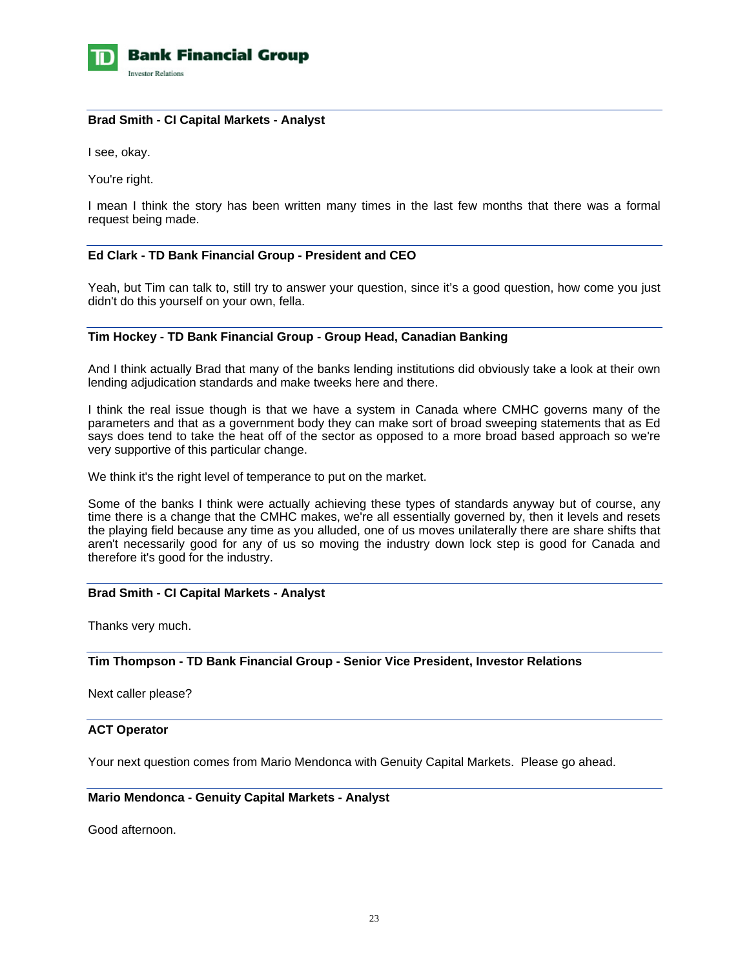

### **Brad Smith - CI Capital Markets - Analyst**

I see, okay.

You're right.

I mean I think the story has been written many times in the last few months that there was a formal request being made.

### **Ed Clark - TD Bank Financial Group - President and CEO**

Yeah, but Tim can talk to, still try to answer your question, since it's a good question, how come you just didn't do this yourself on your own, fella.

# **Tim Hockey - TD Bank Financial Group - Group Head, Canadian Banking**

And I think actually Brad that many of the banks lending institutions did obviously take a look at their own lending adjudication standards and make tweeks here and there.

I think the real issue though is that we have a system in Canada where CMHC governs many of the parameters and that as a government body they can make sort of broad sweeping statements that as Ed says does tend to take the heat off of the sector as opposed to a more broad based approach so we're very supportive of this particular change.

We think it's the right level of temperance to put on the market.

Some of the banks I think were actually achieving these types of standards anyway but of course, any time there is a change that the CMHC makes, we're all essentially governed by, then it levels and resets the playing field because any time as you alluded, one of us moves unilaterally there are share shifts that aren't necessarily good for any of us so moving the industry down lock step is good for Canada and therefore it's good for the industry.

#### **Brad Smith - CI Capital Markets - Analyst**

Thanks very much.

**Tim Thompson - TD Bank Financial Group - Senior Vice President, Investor Relations**

Next caller please?

### **ACT Operator**

Your next question comes from Mario Mendonca with Genuity Capital Markets. Please go ahead.

#### **Mario Mendonca - Genuity Capital Markets - Analyst**

Good afternoon.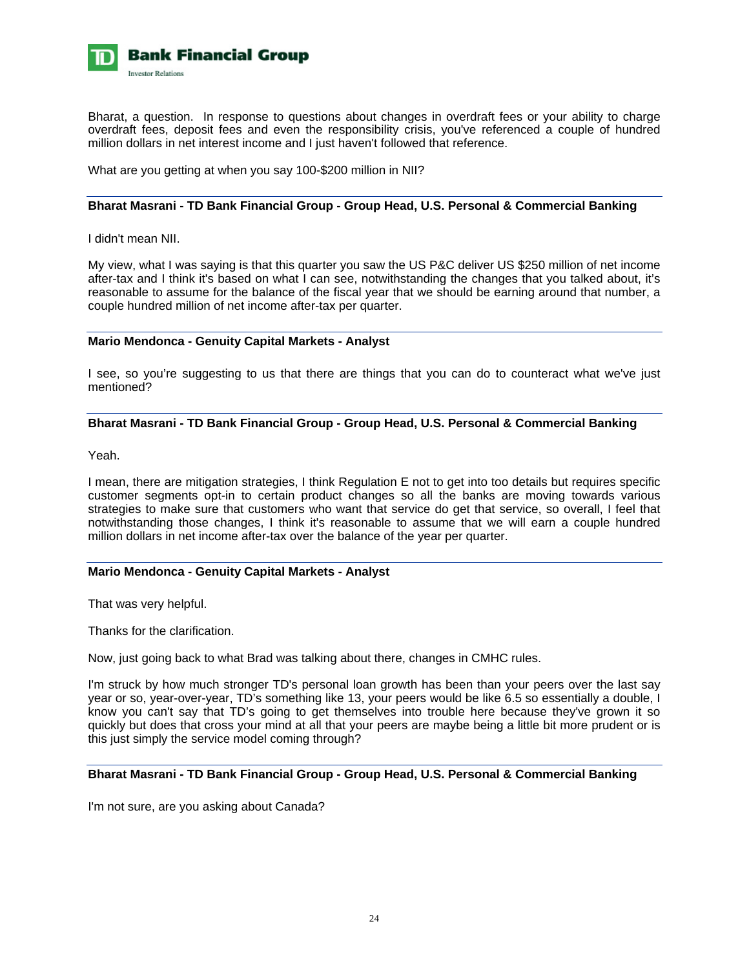

Bharat, a question. In response to questions about changes in overdraft fees or your ability to charge overdraft fees, deposit fees and even the responsibility crisis, you've referenced a couple of hundred million dollars in net interest income and I just haven't followed that reference.

What are you getting at when you say 100-\$200 million in NII?

### **Bharat Masrani - TD Bank Financial Group - Group Head, U.S. Personal & Commercial Banking**

I didn't mean NII.

My view, what I was saying is that this quarter you saw the US P&C deliver US \$250 million of net income after-tax and I think it's based on what I can see, notwithstanding the changes that you talked about, it's reasonable to assume for the balance of the fiscal year that we should be earning around that number, a couple hundred million of net income after-tax per quarter.

### **Mario Mendonca - Genuity Capital Markets - Analyst**

I see, so you're suggesting to us that there are things that you can do to counteract what we've just mentioned?

### **Bharat Masrani - TD Bank Financial Group - Group Head, U.S. Personal & Commercial Banking**

Yeah.

I mean, there are mitigation strategies, I think Regulation E not to get into too details but requires specific customer segments opt-in to certain product changes so all the banks are moving towards various strategies to make sure that customers who want that service do get that service, so overall, I feel that notwithstanding those changes, I think it's reasonable to assume that we will earn a couple hundred million dollars in net income after-tax over the balance of the year per quarter.

### **Mario Mendonca - Genuity Capital Markets - Analyst**

That was very helpful.

Thanks for the clarification.

Now, just going back to what Brad was talking about there, changes in CMHC rules.

I'm struck by how much stronger TD's personal loan growth has been than your peers over the last sav year or so, year-over-year, TD's something like 13, your peers would be like 6.5 so essentially a double, I know you can't say that TD's going to get themselves into trouble here because they've grown it so quickly but does that cross your mind at all that your peers are maybe being a little bit more prudent or is this just simply the service model coming through?

# **Bharat Masrani - TD Bank Financial Group - Group Head, U.S. Personal & Commercial Banking**

I'm not sure, are you asking about Canada?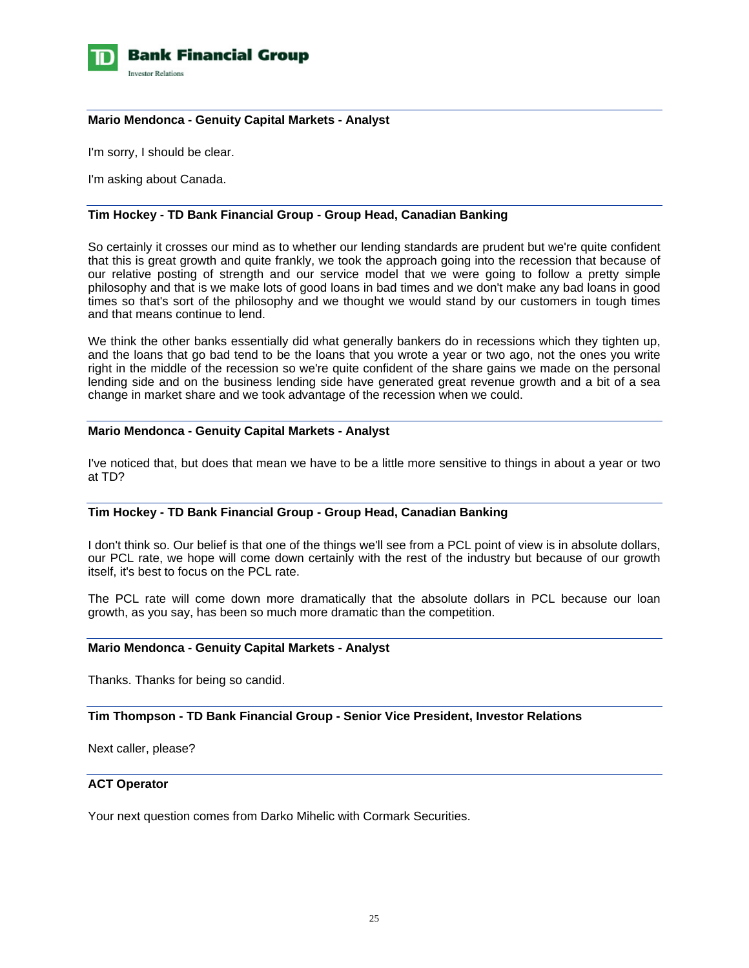

### **Mario Mendonca - Genuity Capital Markets - Analyst**

I'm sorry, I should be clear.

I'm asking about Canada.

# **Tim Hockey - TD Bank Financial Group - Group Head, Canadian Banking**

So certainly it crosses our mind as to whether our lending standards are prudent but we're quite confident that this is great growth and quite frankly, we took the approach going into the recession that because of our relative posting of strength and our service model that we were going to follow a pretty simple philosophy and that is we make lots of good loans in bad times and we don't make any bad loans in good times so that's sort of the philosophy and we thought we would stand by our customers in tough times and that means continue to lend.

We think the other banks essentially did what generally bankers do in recessions which they tighten up, and the loans that go bad tend to be the loans that you wrote a year or two ago, not the ones you write right in the middle of the recession so we're quite confident of the share gains we made on the personal lending side and on the business lending side have generated great revenue growth and a bit of a sea change in market share and we took advantage of the recession when we could.

#### **Mario Mendonca - Genuity Capital Markets - Analyst**

I've noticed that, but does that mean we have to be a little more sensitive to things in about a year or two at TD?

#### **Tim Hockey - TD Bank Financial Group - Group Head, Canadian Banking**

I don't think so. Our belief is that one of the things we'll see from a PCL point of view is in absolute dollars, our PCL rate, we hope will come down certainly with the rest of the industry but because of our growth itself, it's best to focus on the PCL rate.

The PCL rate will come down more dramatically that the absolute dollars in PCL because our loan growth, as you say, has been so much more dramatic than the competition.

#### **Mario Mendonca - Genuity Capital Markets - Analyst**

Thanks. Thanks for being so candid.

#### **Tim Thompson - TD Bank Financial Group - Senior Vice President, Investor Relations**

Next caller, please?

#### **ACT Operator**

Your next question comes from Darko Mihelic with Cormark Securities.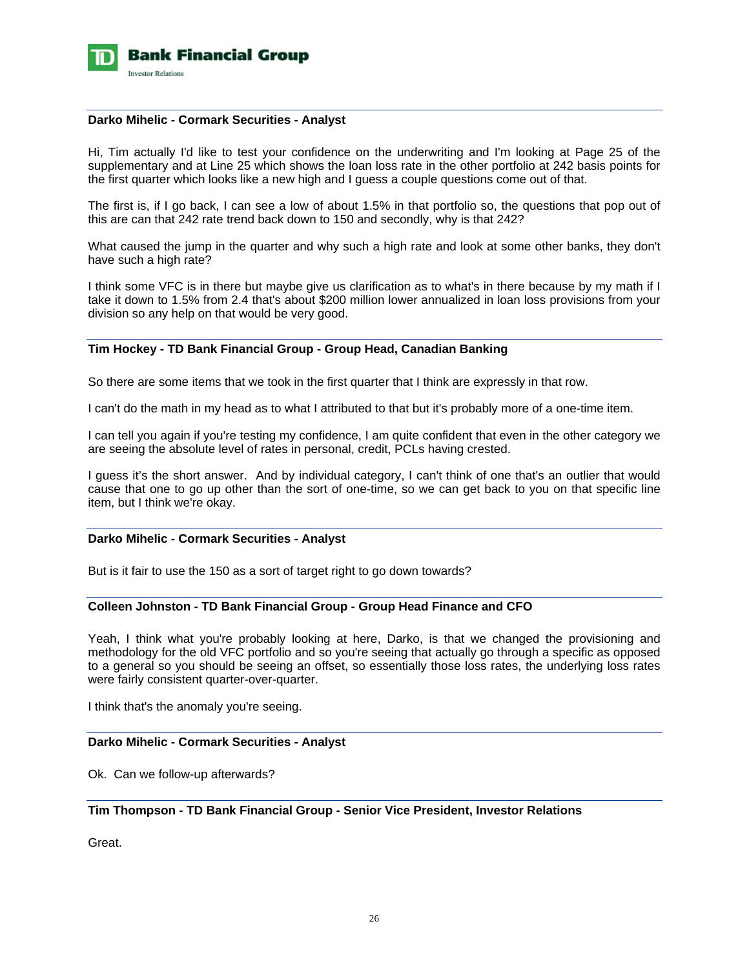

#### **Darko Mihelic - Cormark Securities - Analyst**

Hi, Tim actually I'd like to test your confidence on the underwriting and I'm looking at Page 25 of the supplementary and at Line 25 which shows the loan loss rate in the other portfolio at 242 basis points for the first quarter which looks like a new high and I guess a couple questions come out of that.

The first is, if I go back, I can see a low of about 1.5% in that portfolio so, the questions that pop out of this are can that 242 rate trend back down to 150 and secondly, why is that 242?

What caused the jump in the quarter and why such a high rate and look at some other banks, they don't have such a high rate?

I think some VFC is in there but maybe give us clarification as to what's in there because by my math if I take it down to 1.5% from 2.4 that's about \$200 million lower annualized in loan loss provisions from your division so any help on that would be very good.

### **Tim Hockey - TD Bank Financial Group - Group Head, Canadian Banking**

So there are some items that we took in the first quarter that I think are expressly in that row.

I can't do the math in my head as to what I attributed to that but it's probably more of a one-time item.

I can tell you again if you're testing my confidence, I am quite confident that even in the other category we are seeing the absolute level of rates in personal, credit, PCLs having crested.

I guess it's the short answer. And by individual category, I can't think of one that's an outlier that would cause that one to go up other than the sort of one-time, so we can get back to you on that specific line item, but I think we're okay.

### **Darko Mihelic - Cormark Securities - Analyst**

But is it fair to use the 150 as a sort of target right to go down towards?

### **Colleen Johnston - TD Bank Financial Group - Group Head Finance and CFO**

Yeah, I think what you're probably looking at here, Darko, is that we changed the provisioning and methodology for the old VFC portfolio and so you're seeing that actually go through a specific as opposed to a general so you should be seeing an offset, so essentially those loss rates, the underlying loss rates were fairly consistent quarter-over-quarter.

I think that's the anomaly you're seeing.

#### **Darko Mihelic - Cormark Securities - Analyst**

Ok. Can we follow-up afterwards?

### **Tim Thompson - TD Bank Financial Group - Senior Vice President, Investor Relations**

Great.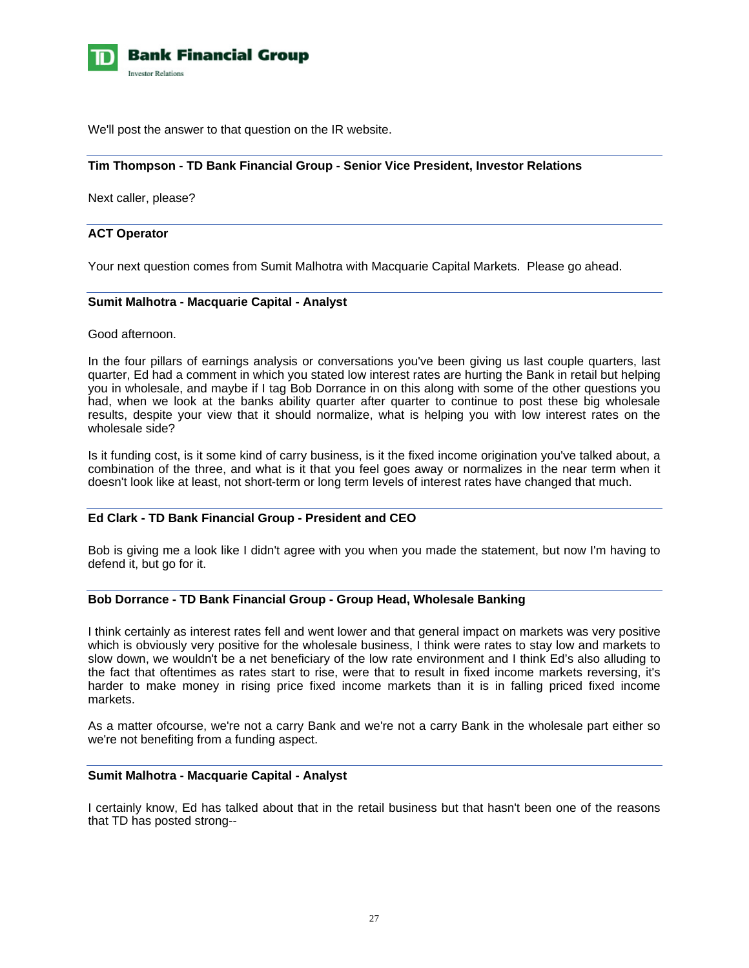

We'll post the answer to that question on the IR website.

### **Tim Thompson - TD Bank Financial Group - Senior Vice President, Investor Relations**

Next caller, please?

### **ACT Operator**

Your next question comes from Sumit Malhotra with Macquarie Capital Markets. Please go ahead.

### **Sumit Malhotra - Macquarie Capital - Analyst**

Good afternoon.

In the four pillars of earnings analysis or conversations you've been giving us last couple quarters, last quarter, Ed had a comment in which you stated low interest rates are hurting the Bank in retail but helping you in wholesale, and maybe if I tag Bob Dorrance in on this along with some of the other questions you had, when we look at the banks ability quarter after quarter to continue to post these big wholesale results, despite your view that it should normalize, what is helping you with low interest rates on the wholesale side?

Is it funding cost, is it some kind of carry business, is it the fixed income origination you've talked about, a combination of the three, and what is it that you feel goes away or normalizes in the near term when it doesn't look like at least, not short-term or long term levels of interest rates have changed that much.

### **Ed Clark - TD Bank Financial Group - President and CEO**

Bob is giving me a look like I didn't agree with you when you made the statement, but now I'm having to defend it, but go for it.

#### **Bob Dorrance - TD Bank Financial Group - Group Head, Wholesale Banking**

I think certainly as interest rates fell and went lower and that general impact on markets was very positive which is obviously very positive for the wholesale business, I think were rates to stay low and markets to slow down, we wouldn't be a net beneficiary of the low rate environment and I think Ed's also alluding to the fact that oftentimes as rates start to rise, were that to result in fixed income markets reversing, it's harder to make money in rising price fixed income markets than it is in falling priced fixed income markets.

As a matter ofcourse, we're not a carry Bank and we're not a carry Bank in the wholesale part either so we're not benefiting from a funding aspect.

### **Sumit Malhotra - Macquarie Capital - Analyst**

I certainly know, Ed has talked about that in the retail business but that hasn't been one of the reasons that TD has posted strong--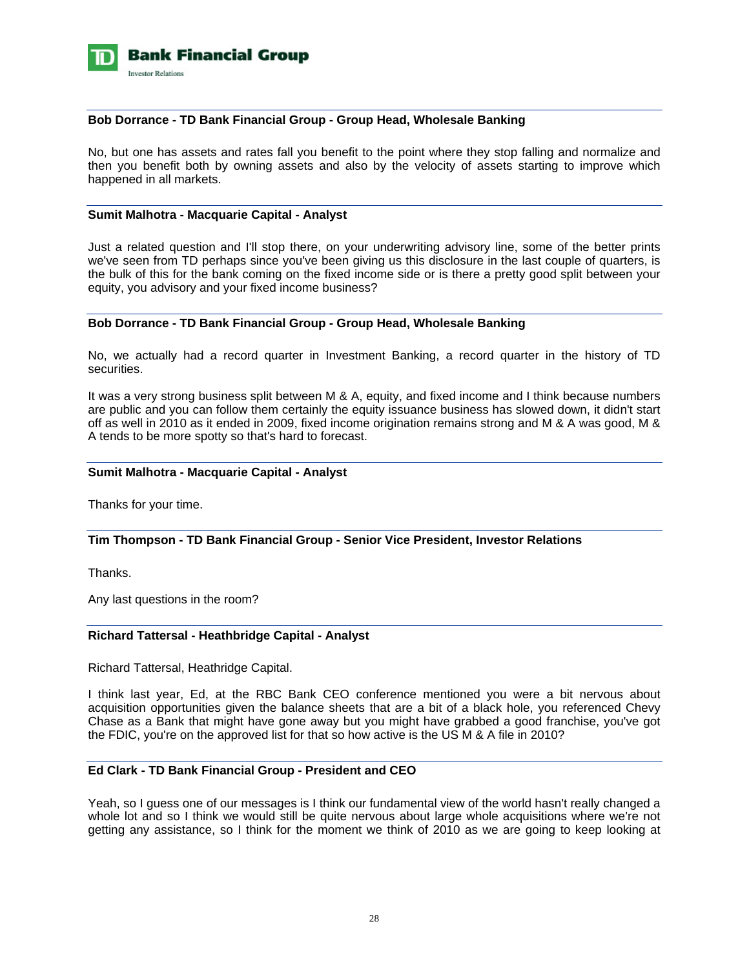

### **Bob Dorrance - TD Bank Financial Group - Group Head, Wholesale Banking**

No, but one has assets and rates fall you benefit to the point where they stop falling and normalize and then you benefit both by owning assets and also by the velocity of assets starting to improve which happened in all markets.

#### **Sumit Malhotra - Macquarie Capital - Analyst**

Just a related question and I'll stop there, on your underwriting advisory line, some of the better prints we've seen from TD perhaps since you've been giving us this disclosure in the last couple of quarters, is the bulk of this for the bank coming on the fixed income side or is there a pretty good split between your equity, you advisory and your fixed income business?

### **Bob Dorrance - TD Bank Financial Group - Group Head, Wholesale Banking**

No, we actually had a record quarter in Investment Banking, a record quarter in the history of TD securities.

It was a very strong business split between M & A, equity, and fixed income and I think because numbers are public and you can follow them certainly the equity issuance business has slowed down, it didn't start off as well in 2010 as it ended in 2009, fixed income origination remains strong and M & A was good, M & A tends to be more spotty so that's hard to forecast.

#### **Sumit Malhotra - Macquarie Capital - Analyst**

Thanks for your time.

#### **Tim Thompson - TD Bank Financial Group - Senior Vice President, Investor Relations**

Thanks.

Any last questions in the room?

#### **Richard Tattersal - Heathbridge Capital - Analyst**

Richard Tattersal, Heathridge Capital.

I think last year, Ed, at the RBC Bank CEO conference mentioned you were a bit nervous about acquisition opportunities given the balance sheets that are a bit of a black hole, you referenced Chevy Chase as a Bank that might have gone away but you might have grabbed a good franchise, you've got the FDIC, you're on the approved list for that so how active is the US M & A file in 2010?

#### **Ed Clark - TD Bank Financial Group - President and CEO**

Yeah, so I guess one of our messages is I think our fundamental view of the world hasn't really changed a whole lot and so I think we would still be quite nervous about large whole acquisitions where we're not getting any assistance, so I think for the moment we think of 2010 as we are going to keep looking at